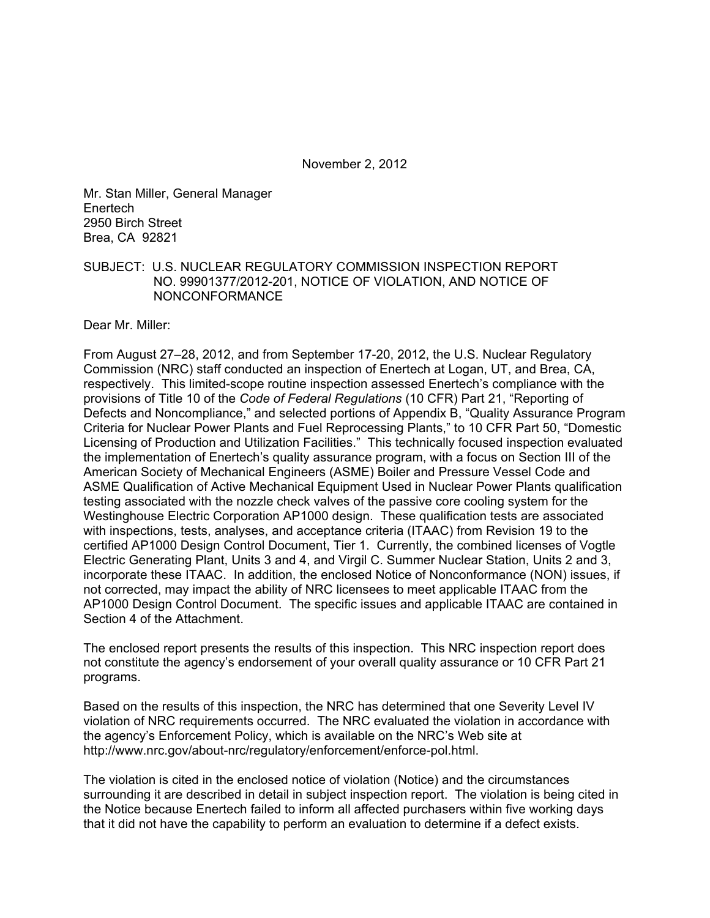November 2, 2012

Mr. Stan Miller, General Manager Enertech 2950 Birch Street Brea, CA 92821

SUBJECT: U.S. NUCLEAR REGULATORY COMMISSION INSPECTION REPORT NO. 99901377/2012-201, NOTICE OF VIOLATION, AND NOTICE OF NONCONFORMANCE

Dear Mr. Miller:

From August 27–28, 2012, and from September 17-20, 2012, the U.S. Nuclear Regulatory Commission (NRC) staff conducted an inspection of Enertech at Logan, UT, and Brea, CA, respectively. This limited-scope routine inspection assessed Enertech's compliance with the provisions of Title 10 of the *Code of Federal Regulations* (10 CFR) Part 21, "Reporting of Defects and Noncompliance," and selected portions of Appendix B, "Quality Assurance Program Criteria for Nuclear Power Plants and Fuel Reprocessing Plants," to 10 CFR Part 50, "Domestic Licensing of Production and Utilization Facilities." This technically focused inspection evaluated the implementation of Enertech's quality assurance program, with a focus on Section III of the American Society of Mechanical Engineers (ASME) Boiler and Pressure Vessel Code and ASME Qualification of Active Mechanical Equipment Used in Nuclear Power Plants qualification testing associated with the nozzle check valves of the passive core cooling system for the Westinghouse Electric Corporation AP1000 design. These qualification tests are associated with inspections, tests, analyses, and acceptance criteria (ITAAC) from Revision 19 to the certified AP1000 Design Control Document, Tier 1. Currently, the combined licenses of Vogtle Electric Generating Plant, Units 3 and 4, and Virgil C. Summer Nuclear Station, Units 2 and 3, incorporate these ITAAC. In addition, the enclosed Notice of Nonconformance (NON) issues, if not corrected, may impact the ability of NRC licensees to meet applicable ITAAC from the AP1000 Design Control Document. The specific issues and applicable ITAAC are contained in Section 4 of the Attachment.

The enclosed report presents the results of this inspection. This NRC inspection report does not constitute the agency's endorsement of your overall quality assurance or 10 CFR Part 21 programs.

Based on the results of this inspection, the NRC has determined that one Severity Level IV violation of NRC requirements occurred. The NRC evaluated the violation in accordance with the agency's Enforcement Policy, which is available on the NRC's Web site at http://www.nrc.gov/about-nrc/regulatory/enforcement/enforce-pol.html.

The violation is cited in the enclosed notice of violation (Notice) and the circumstances surrounding it are described in detail in subject inspection report. The violation is being cited in the Notice because Enertech failed to inform all affected purchasers within five working days that it did not have the capability to perform an evaluation to determine if a defect exists.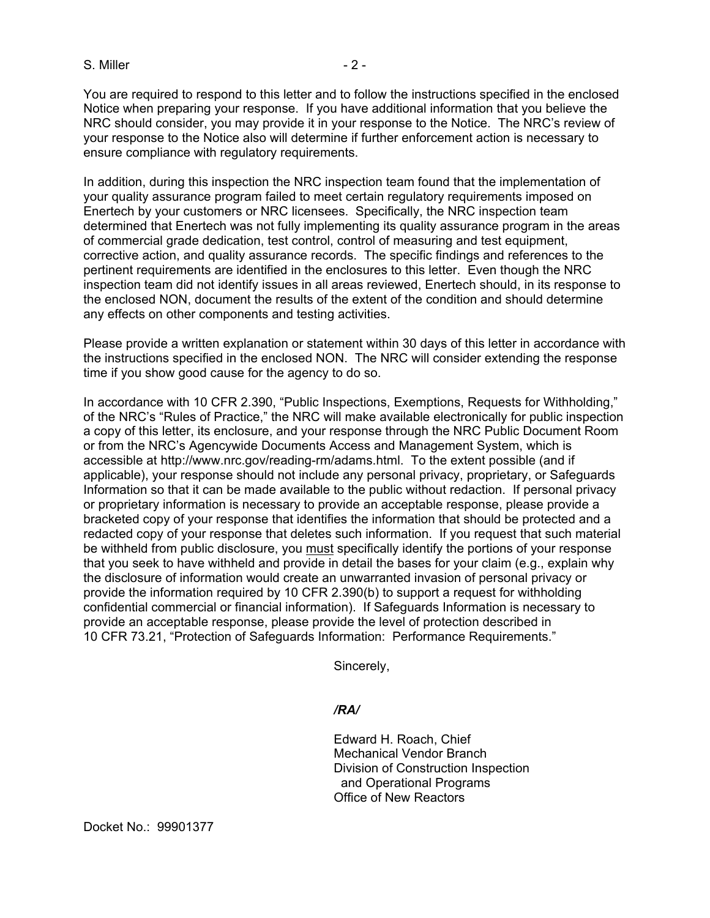#### $S.$  Miller  $-2$  -

You are required to respond to this letter and to follow the instructions specified in the enclosed Notice when preparing your response. If you have additional information that you believe the NRC should consider, you may provide it in your response to the Notice. The NRC's review of your response to the Notice also will determine if further enforcement action is necessary to ensure compliance with regulatory requirements.

In addition, during this inspection the NRC inspection team found that the implementation of your quality assurance program failed to meet certain regulatory requirements imposed on Enertech by your customers or NRC licensees. Specifically, the NRC inspection team determined that Enertech was not fully implementing its quality assurance program in the areas of commercial grade dedication, test control, control of measuring and test equipment, corrective action, and quality assurance records. The specific findings and references to the pertinent requirements are identified in the enclosures to this letter. Even though the NRC inspection team did not identify issues in all areas reviewed, Enertech should, in its response to the enclosed NON, document the results of the extent of the condition and should determine any effects on other components and testing activities.

Please provide a written explanation or statement within 30 days of this letter in accordance with the instructions specified in the enclosed NON. The NRC will consider extending the response time if you show good cause for the agency to do so.

In accordance with 10 CFR 2.390, "Public Inspections, Exemptions, Requests for Withholding," of the NRC's "Rules of Practice," the NRC will make available electronically for public inspection a copy of this letter, its enclosure, and your response through the NRC Public Document Room or from the NRC's Agencywide Documents Access and Management System, which is accessible at http://www.nrc.gov/reading-rm/adams.html. To the extent possible (and if applicable), your response should not include any personal privacy, proprietary, or Safeguards Information so that it can be made available to the public without redaction. If personal privacy or proprietary information is necessary to provide an acceptable response, please provide a bracketed copy of your response that identifies the information that should be protected and a redacted copy of your response that deletes such information. If you request that such material be withheld from public disclosure, you must specifically identify the portions of your response that you seek to have withheld and provide in detail the bases for your claim (e.g., explain why the disclosure of information would create an unwarranted invasion of personal privacy or provide the information required by 10 CFR 2.390(b) to support a request for withholding confidential commercial or financial information). If Safeguards Information is necessary to provide an acceptable response, please provide the level of protection described in 10 CFR 73.21, "Protection of Safeguards Information: Performance Requirements."

Sincerely,

#### */RA/*

Edward H. Roach, Chief Mechanical Vendor Branch Division of Construction Inspection and Operational Programs Office of New Reactors

Docket No.: 99901377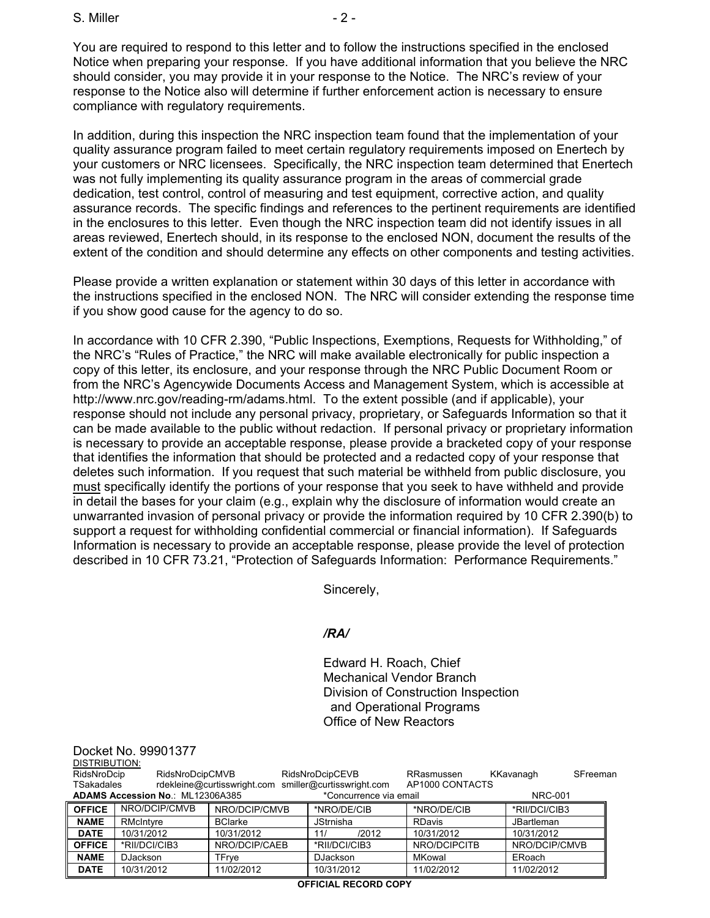S. Miller  $-2$  -

You are required to respond to this letter and to follow the instructions specified in the enclosed Notice when preparing your response. If you have additional information that you believe the NRC should consider, you may provide it in your response to the Notice. The NRC's review of your response to the Notice also will determine if further enforcement action is necessary to ensure compliance with regulatory requirements.

In addition, during this inspection the NRC inspection team found that the implementation of your quality assurance program failed to meet certain regulatory requirements imposed on Enertech by your customers or NRC licensees. Specifically, the NRC inspection team determined that Enertech was not fully implementing its quality assurance program in the areas of commercial grade dedication, test control, control of measuring and test equipment, corrective action, and quality assurance records. The specific findings and references to the pertinent requirements are identified in the enclosures to this letter. Even though the NRC inspection team did not identify issues in all areas reviewed, Enertech should, in its response to the enclosed NON, document the results of the extent of the condition and should determine any effects on other components and testing activities.

Please provide a written explanation or statement within 30 days of this letter in accordance with the instructions specified in the enclosed NON. The NRC will consider extending the response time if you show good cause for the agency to do so.

In accordance with 10 CFR 2.390, "Public Inspections, Exemptions, Requests for Withholding," of the NRC's "Rules of Practice," the NRC will make available electronically for public inspection a copy of this letter, its enclosure, and your response through the NRC Public Document Room or from the NRC's Agencywide Documents Access and Management System, which is accessible at http://www.nrc.gov/reading-rm/adams.html. To the extent possible (and if applicable), your response should not include any personal privacy, proprietary, or Safeguards Information so that it can be made available to the public without redaction. If personal privacy or proprietary information is necessary to provide an acceptable response, please provide a bracketed copy of your response that identifies the information that should be protected and a redacted copy of your response that deletes such information. If you request that such material be withheld from public disclosure, you must specifically identify the portions of your response that you seek to have withheld and provide in detail the bases for your claim (e.g., explain why the disclosure of information would create an unwarranted invasion of personal privacy or provide the information required by 10 CFR 2.390(b) to support a request for withholding confidential commercial or financial information). If Safeguards Information is necessary to provide an acceptable response, please provide the level of protection described in 10 CFR 73.21, "Protection of Safeguards Information: Performance Requirements."

Sincerely,

## */RA/*

Edward H. Roach, Chief Mechanical Vendor Branch Division of Construction Inspection and Operational Programs Office of New Reactors

| Docket No. 99901377<br>DISTRIBUTION:<br>RidsNroDcipCMVB<br>RidsNroDcipCEVB<br>RidsNroDcip<br>KKavanagh<br>RRasmussen<br>SFreeman<br>rdekleine@curtisswright.com<br>smiller@curtisswright.com<br>AP1000 CONTACTS<br>TSakadales |                                  |                |                        |               |                   |  |
|-------------------------------------------------------------------------------------------------------------------------------------------------------------------------------------------------------------------------------|----------------------------------|----------------|------------------------|---------------|-------------------|--|
|                                                                                                                                                                                                                               | ADAMS Accession No.: ML12306A385 |                | *Concurrence via email |               | <b>NRC-001</b>    |  |
| <b>OFFICE</b>                                                                                                                                                                                                                 | NRO/DCIP/CMVB                    | NRO/DCIP/CMVB  | *NRO/DE/CIB            | *NRO/DE/CIB   | *RII/DCI/CIB3     |  |
| <b>NAME</b>                                                                                                                                                                                                                   | RMcIntyre                        | <b>BClarke</b> | <b>JStrnisha</b>       | <b>RDavis</b> | <b>JBartleman</b> |  |
| <b>DATE</b>                                                                                                                                                                                                                   | 10/31/2012                       | 10/31/2012     | 11/<br>/2012           | 10/31/2012    | 10/31/2012        |  |
| <b>OFFICE</b>                                                                                                                                                                                                                 | *RII/DCI/CIB3                    | NRO/DCIP/CAEB  | *RII/DCI/CIB3          | NRO/DCIPCITB  | NRO/DCIP/CMVB     |  |
| <b>NAME</b>                                                                                                                                                                                                                   | DJackson                         | TFrye          | <b>DJackson</b>        | MKowal        | ERoach            |  |
| <b>DATE</b>                                                                                                                                                                                                                   | 10/31/2012                       | 11/02/2012     | 10/31/2012             | 11/02/2012    | 11/02/2012        |  |
| <b>OFFICIAL RECORD COPY</b>                                                                                                                                                                                                   |                                  |                |                        |               |                   |  |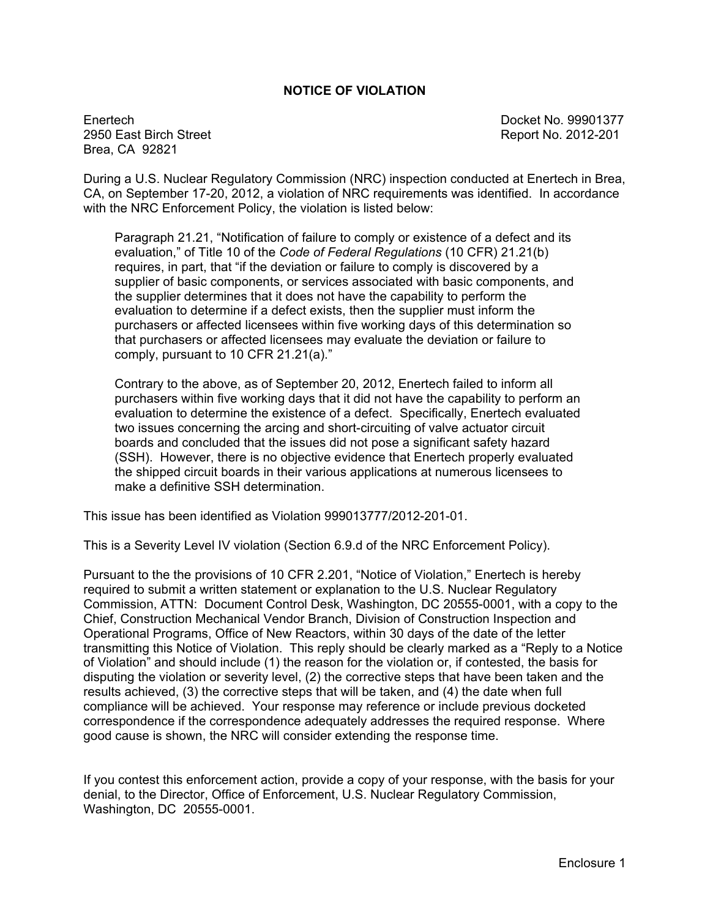#### **NOTICE OF VIOLATION**

Enertech Docket No. 99901377 2950 East Birch Street Report No. 2012-201 Brea, CA 92821

During a U.S. Nuclear Regulatory Commission (NRC) inspection conducted at Enertech in Brea, CA, on September 17-20, 2012, a violation of NRC requirements was identified. In accordance with the NRC Enforcement Policy, the violation is listed below:

Paragraph 21.21, "Notification of failure to comply or existence of a defect and its evaluation," of Title 10 of the *Code of Federal Regulations* (10 CFR) 21.21(b) requires, in part, that "if the deviation or failure to comply is discovered by a supplier of basic components, or services associated with basic components, and the supplier determines that it does not have the capability to perform the evaluation to determine if a defect exists, then the supplier must inform the purchasers or affected licensees within five working days of this determination so that purchasers or affected licensees may evaluate the deviation or failure to comply, pursuant to 10 CFR 21.21(a)."

Contrary to the above, as of September 20, 2012, Enertech failed to inform all purchasers within five working days that it did not have the capability to perform an evaluation to determine the existence of a defect. Specifically, Enertech evaluated two issues concerning the arcing and short-circuiting of valve actuator circuit boards and concluded that the issues did not pose a significant safety hazard (SSH). However, there is no objective evidence that Enertech properly evaluated the shipped circuit boards in their various applications at numerous licensees to make a definitive SSH determination.

This issue has been identified as Violation 999013777/2012-201-01.

This is a Severity Level IV violation (Section 6.9.d of the NRC Enforcement Policy).

Pursuant to the the provisions of 10 CFR 2.201, "Notice of Violation," Enertech is hereby required to submit a written statement or explanation to the U.S. Nuclear Regulatory Commission, ATTN: Document Control Desk, Washington, DC 20555-0001, with a copy to the Chief, Construction Mechanical Vendor Branch, Division of Construction Inspection and Operational Programs, Office of New Reactors, within 30 days of the date of the letter transmitting this Notice of Violation. This reply should be clearly marked as a "Reply to a Notice of Violation" and should include (1) the reason for the violation or, if contested, the basis for disputing the violation or severity level, (2) the corrective steps that have been taken and the results achieved, (3) the corrective steps that will be taken, and (4) the date when full compliance will be achieved. Your response may reference or include previous docketed correspondence if the correspondence adequately addresses the required response. Where good cause is shown, the NRC will consider extending the response time.

If you contest this enforcement action, provide a copy of your response, with the basis for your denial, to the Director, Office of Enforcement, U.S. Nuclear Regulatory Commission, Washington, DC 20555-0001.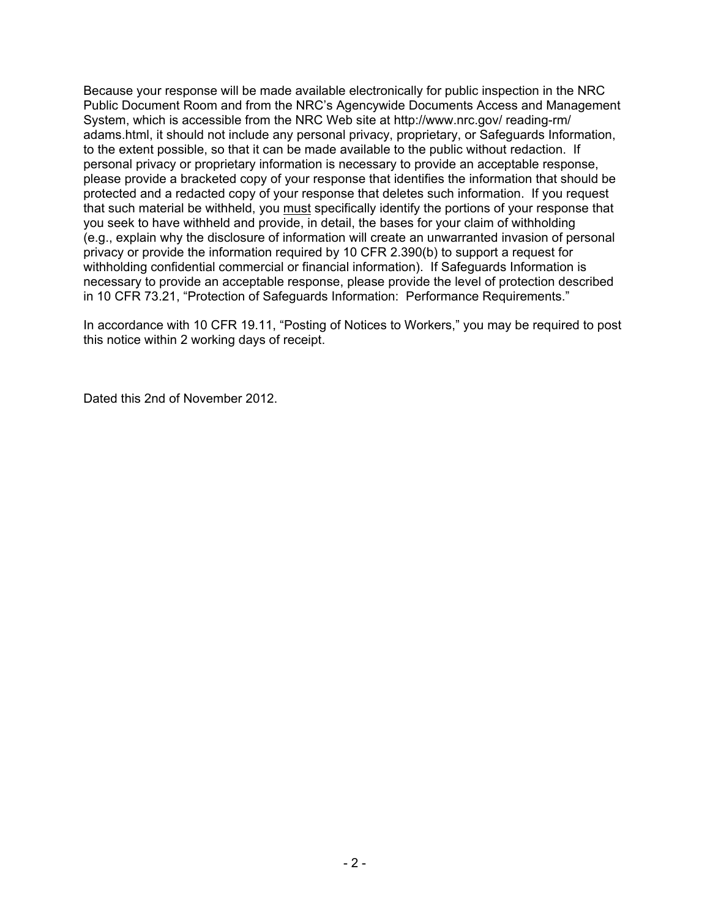Because your response will be made available electronically for public inspection in the NRC Public Document Room and from the NRC's Agencywide Documents Access and Management System, which is accessible from the NRC Web site at http://www.nrc.gov/ reading-rm/ adams.html, it should not include any personal privacy, proprietary, or Safeguards Information, to the extent possible, so that it can be made available to the public without redaction. If personal privacy or proprietary information is necessary to provide an acceptable response, please provide a bracketed copy of your response that identifies the information that should be protected and a redacted copy of your response that deletes such information. If you request that such material be withheld, you must specifically identify the portions of your response that you seek to have withheld and provide, in detail, the bases for your claim of withholding (e.g., explain why the disclosure of information will create an unwarranted invasion of personal privacy or provide the information required by 10 CFR 2.390(b) to support a request for withholding confidential commercial or financial information). If Safeguards Information is necessary to provide an acceptable response, please provide the level of protection described in 10 CFR 73.21, "Protection of Safeguards Information: Performance Requirements."

In accordance with 10 CFR 19.11, "Posting of Notices to Workers," you may be required to post this notice within 2 working days of receipt.

Dated this 2nd of November 2012.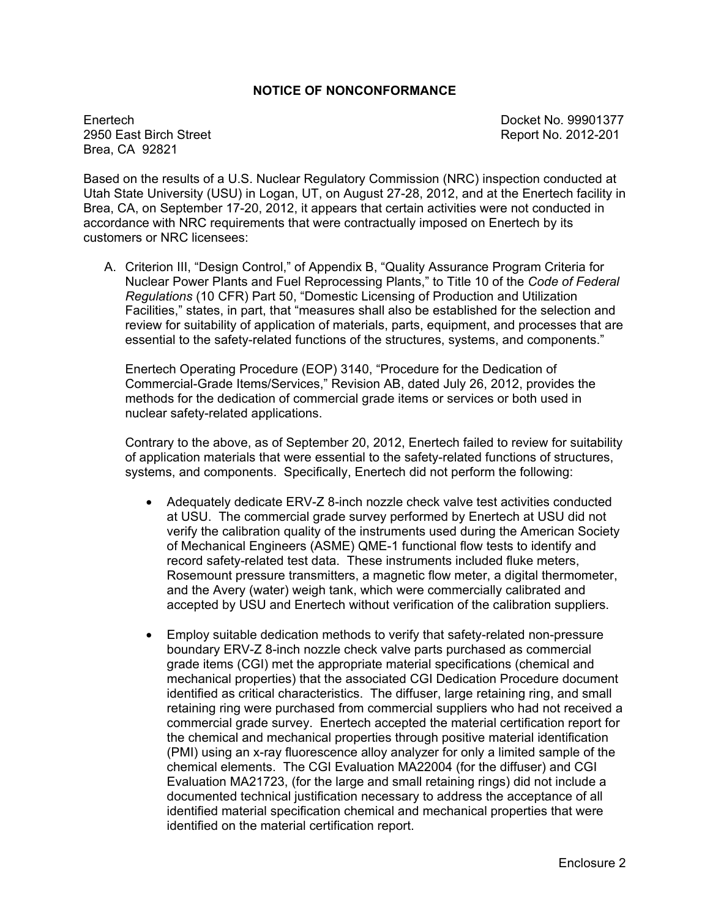#### **NOTICE OF NONCONFORMANCE**

Enertech Docket No. 99901377 Brea, CA 92821

Report No. 2012-201

Based on the results of a U.S. Nuclear Regulatory Commission (NRC) inspection conducted at Utah State University (USU) in Logan, UT, on August 27-28, 2012, and at the Enertech facility in Brea, CA, on September 17-20, 2012, it appears that certain activities were not conducted in accordance with NRC requirements that were contractually imposed on Enertech by its customers or NRC licensees:

A. Criterion III, "Design Control," of Appendix B, "Quality Assurance Program Criteria for Nuclear Power Plants and Fuel Reprocessing Plants," to Title 10 of the *Code of Federal Regulations* (10 CFR) Part 50, "Domestic Licensing of Production and Utilization Facilities," states, in part, that "measures shall also be established for the selection and review for suitability of application of materials, parts, equipment, and processes that are essential to the safety-related functions of the structures, systems, and components."

Enertech Operating Procedure (EOP) 3140, "Procedure for the Dedication of Commercial-Grade Items/Services," Revision AB, dated July 26, 2012, provides the methods for the dedication of commercial grade items or services or both used in nuclear safety-related applications.

Contrary to the above, as of September 20, 2012, Enertech failed to review for suitability of application materials that were essential to the safety-related functions of structures, systems, and components. Specifically, Enertech did not perform the following:

- Adequately dedicate ERV-Z 8-inch nozzle check valve test activities conducted at USU. The commercial grade survey performed by Enertech at USU did not verify the calibration quality of the instruments used during the American Society of Mechanical Engineers (ASME) QME-1 functional flow tests to identify and record safety-related test data. These instruments included fluke meters, Rosemount pressure transmitters, a magnetic flow meter, a digital thermometer, and the Avery (water) weigh tank, which were commercially calibrated and accepted by USU and Enertech without verification of the calibration suppliers.
- Employ suitable dedication methods to verify that safety-related non-pressure boundary ERV-Z 8-inch nozzle check valve parts purchased as commercial grade items (CGI) met the appropriate material specifications (chemical and mechanical properties) that the associated CGI Dedication Procedure document identified as critical characteristics. The diffuser, large retaining ring, and small retaining ring were purchased from commercial suppliers who had not received a commercial grade survey. Enertech accepted the material certification report for the chemical and mechanical properties through positive material identification (PMI) using an x-ray fluorescence alloy analyzer for only a limited sample of the chemical elements. The CGI Evaluation MA22004 (for the diffuser) and CGI Evaluation MA21723, (for the large and small retaining rings) did not include a documented technical justification necessary to address the acceptance of all identified material specification chemical and mechanical properties that were identified on the material certification report.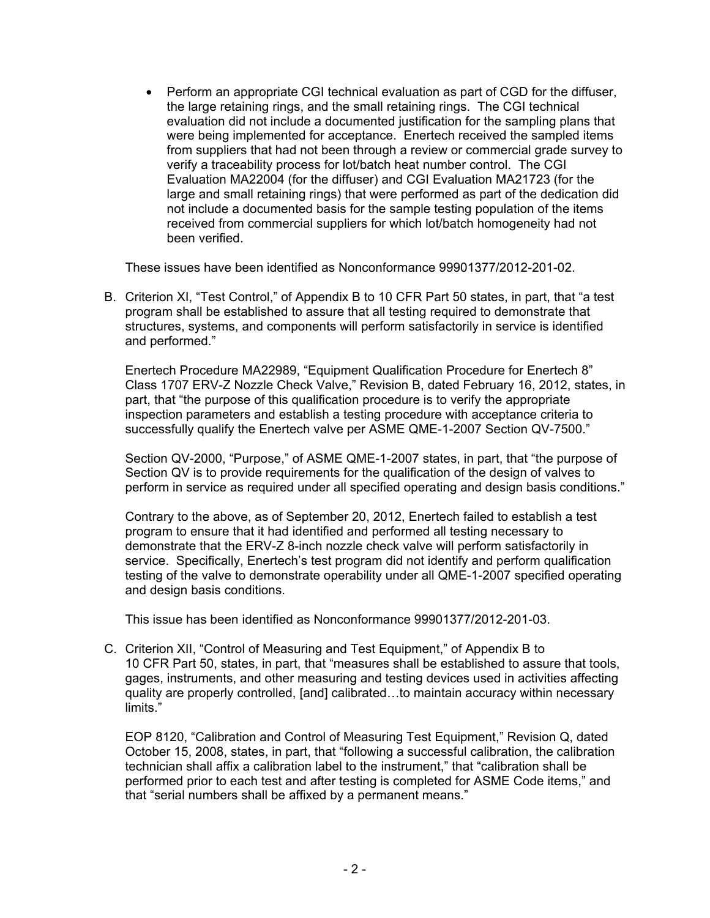• Perform an appropriate CGI technical evaluation as part of CGD for the diffuser, the large retaining rings, and the small retaining rings. The CGI technical evaluation did not include a documented justification for the sampling plans that were being implemented for acceptance. Enertech received the sampled items from suppliers that had not been through a review or commercial grade survey to verify a traceability process for lot/batch heat number control. The CGI Evaluation MA22004 (for the diffuser) and CGI Evaluation MA21723 (for the large and small retaining rings) that were performed as part of the dedication did not include a documented basis for the sample testing population of the items received from commercial suppliers for which lot/batch homogeneity had not been verified.

These issues have been identified as Nonconformance 99901377/2012-201-02.

B. Criterion XI, "Test Control," of Appendix B to 10 CFR Part 50 states, in part, that "a test program shall be established to assure that all testing required to demonstrate that structures, systems, and components will perform satisfactorily in service is identified and performed."

Enertech Procedure MA22989, "Equipment Qualification Procedure for Enertech 8" Class 1707 ERV-Z Nozzle Check Valve," Revision B, dated February 16, 2012, states, in part, that "the purpose of this qualification procedure is to verify the appropriate inspection parameters and establish a testing procedure with acceptance criteria to successfully qualify the Enertech valve per ASME QME-1-2007 Section QV-7500."

Section QV-2000, "Purpose," of ASME QME-1-2007 states, in part, that "the purpose of Section QV is to provide requirements for the qualification of the design of valves to perform in service as required under all specified operating and design basis conditions."

Contrary to the above, as of September 20, 2012, Enertech failed to establish a test program to ensure that it had identified and performed all testing necessary to demonstrate that the ERV-Z 8-inch nozzle check valve will perform satisfactorily in service. Specifically, Enertech's test program did not identify and perform qualification testing of the valve to demonstrate operability under all QME-1-2007 specified operating and design basis conditions.

This issue has been identified as Nonconformance 99901377/2012-201-03.

C. Criterion XII, "Control of Measuring and Test Equipment," of Appendix B to 10 CFR Part 50, states, in part, that "measures shall be established to assure that tools, gages, instruments, and other measuring and testing devices used in activities affecting quality are properly controlled, [and] calibrated…to maintain accuracy within necessary limits."

EOP 8120, "Calibration and Control of Measuring Test Equipment," Revision Q, dated October 15, 2008, states, in part, that "following a successful calibration, the calibration technician shall affix a calibration label to the instrument," that "calibration shall be performed prior to each test and after testing is completed for ASME Code items," and that "serial numbers shall be affixed by a permanent means."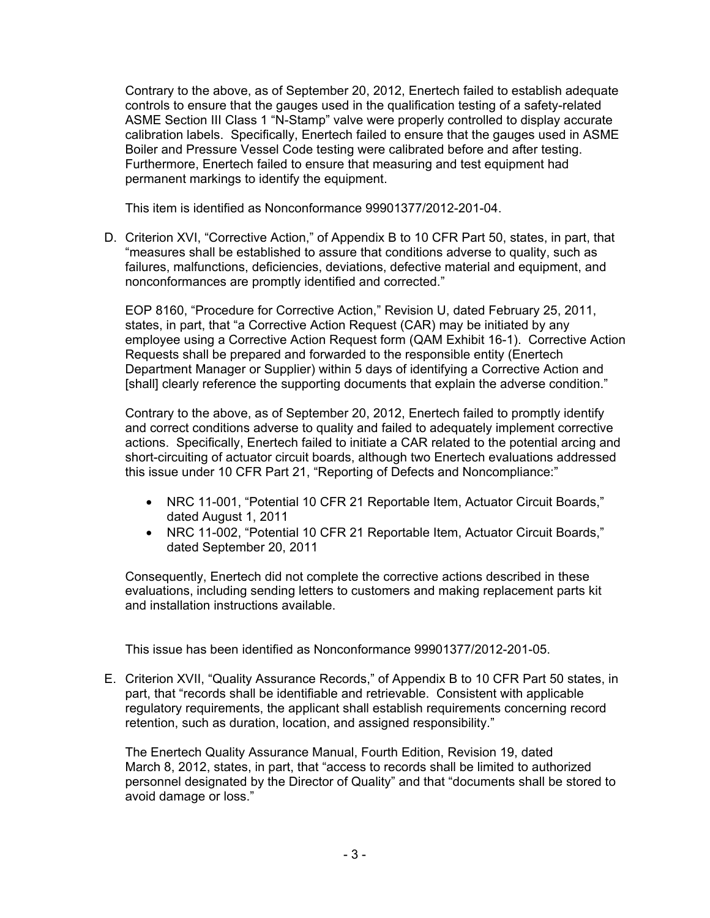Contrary to the above, as of September 20, 2012, Enertech failed to establish adequate controls to ensure that the gauges used in the qualification testing of a safety-related ASME Section III Class 1 "N-Stamp" valve were properly controlled to display accurate calibration labels. Specifically, Enertech failed to ensure that the gauges used in ASME Boiler and Pressure Vessel Code testing were calibrated before and after testing. Furthermore, Enertech failed to ensure that measuring and test equipment had permanent markings to identify the equipment.

This item is identified as Nonconformance 99901377/2012-201-04.

D. Criterion XVI, "Corrective Action," of Appendix B to 10 CFR Part 50, states, in part, that "measures shall be established to assure that conditions adverse to quality, such as failures, malfunctions, deficiencies, deviations, defective material and equipment, and nonconformances are promptly identified and corrected."

EOP 8160, "Procedure for Corrective Action," Revision U, dated February 25, 2011, states, in part, that "a Corrective Action Request (CAR) may be initiated by any employee using a Corrective Action Request form (QAM Exhibit 16-1). Corrective Action Requests shall be prepared and forwarded to the responsible entity (Enertech Department Manager or Supplier) within 5 days of identifying a Corrective Action and [shall] clearly reference the supporting documents that explain the adverse condition."

Contrary to the above, as of September 20, 2012, Enertech failed to promptly identify and correct conditions adverse to quality and failed to adequately implement corrective actions. Specifically, Enertech failed to initiate a CAR related to the potential arcing and short-circuiting of actuator circuit boards, although two Enertech evaluations addressed this issue under 10 CFR Part 21, "Reporting of Defects and Noncompliance:"

- NRC 11-001, "Potential 10 CFR 21 Reportable Item, Actuator Circuit Boards," dated August 1, 2011
- NRC 11-002, "Potential 10 CFR 21 Reportable Item, Actuator Circuit Boards," dated September 20, 2011

Consequently, Enertech did not complete the corrective actions described in these evaluations, including sending letters to customers and making replacement parts kit and installation instructions available.

This issue has been identified as Nonconformance 99901377/2012-201-05.

E. Criterion XVII, "Quality Assurance Records," of Appendix B to 10 CFR Part 50 states, in part, that "records shall be identifiable and retrievable. Consistent with applicable regulatory requirements, the applicant shall establish requirements concerning record retention, such as duration, location, and assigned responsibility."

The Enertech Quality Assurance Manual, Fourth Edition, Revision 19, dated March 8, 2012, states, in part, that "access to records shall be limited to authorized personnel designated by the Director of Quality" and that "documents shall be stored to avoid damage or loss."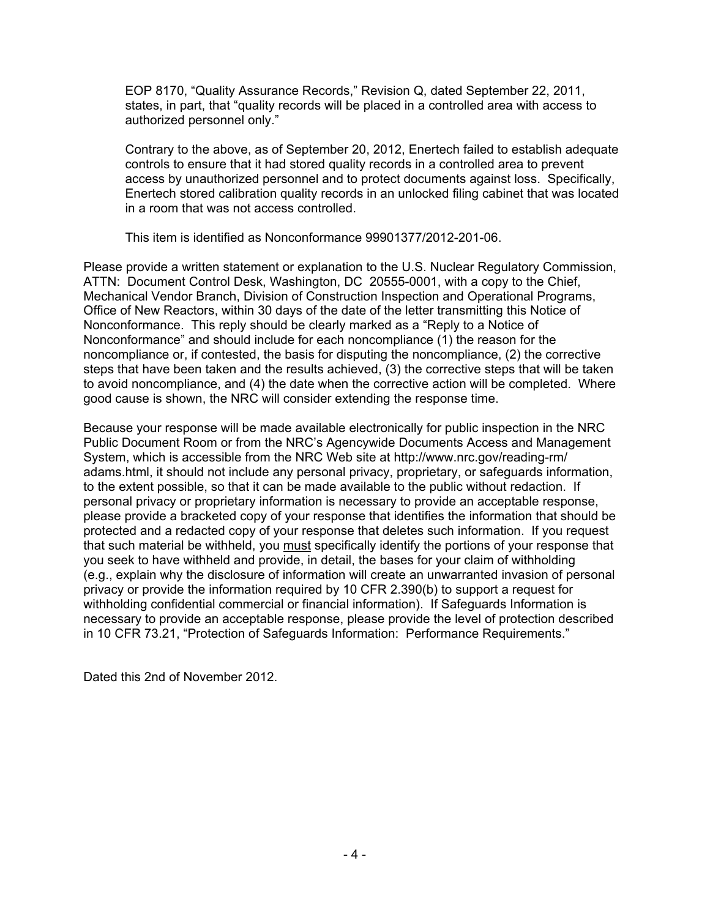EOP 8170, "Quality Assurance Records," Revision Q, dated September 22, 2011, states, in part, that "quality records will be placed in a controlled area with access to authorized personnel only."

Contrary to the above, as of September 20, 2012, Enertech failed to establish adequate controls to ensure that it had stored quality records in a controlled area to prevent access by unauthorized personnel and to protect documents against loss. Specifically, Enertech stored calibration quality records in an unlocked filing cabinet that was located in a room that was not access controlled.

This item is identified as Nonconformance 99901377/2012-201-06.

Please provide a written statement or explanation to the U.S. Nuclear Regulatory Commission, ATTN: Document Control Desk, Washington, DC 20555-0001, with a copy to the Chief, Mechanical Vendor Branch, Division of Construction Inspection and Operational Programs, Office of New Reactors, within 30 days of the date of the letter transmitting this Notice of Nonconformance. This reply should be clearly marked as a "Reply to a Notice of Nonconformance" and should include for each noncompliance (1) the reason for the noncompliance or, if contested, the basis for disputing the noncompliance, (2) the corrective steps that have been taken and the results achieved, (3) the corrective steps that will be taken to avoid noncompliance, and (4) the date when the corrective action will be completed. Where good cause is shown, the NRC will consider extending the response time.

Because your response will be made available electronically for public inspection in the NRC Public Document Room or from the NRC's Agencywide Documents Access and Management System, which is accessible from the NRC Web site at http://www.nrc.gov/reading-rm/ adams.html, it should not include any personal privacy, proprietary, or safeguards information, to the extent possible, so that it can be made available to the public without redaction. If personal privacy or proprietary information is necessary to provide an acceptable response, please provide a bracketed copy of your response that identifies the information that should be protected and a redacted copy of your response that deletes such information. If you request that such material be withheld, you must specifically identify the portions of your response that you seek to have withheld and provide, in detail, the bases for your claim of withholding (e.g., explain why the disclosure of information will create an unwarranted invasion of personal privacy or provide the information required by 10 CFR 2.390(b) to support a request for withholding confidential commercial or financial information). If Safeguards Information is necessary to provide an acceptable response, please provide the level of protection described in 10 CFR 73.21, "Protection of Safeguards Information: Performance Requirements."

Dated this 2nd of November 2012.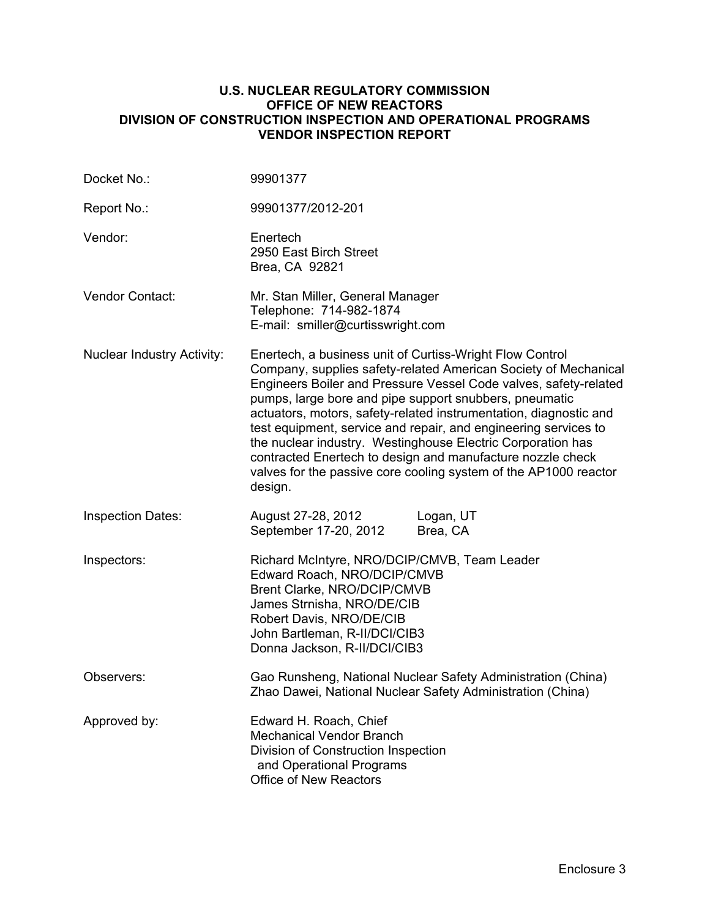#### **U.S. NUCLEAR REGULATORY COMMISSION OFFICE OF NEW REACTORS DIVISION OF CONSTRUCTION INSPECTION AND OPERATIONAL PROGRAMS VENDOR INSPECTION REPORT**

| Docket No.:                       | 99901377                                                                                                                                                                                                                                                                                                                                                                                                                                                                                                                                                                                                      |
|-----------------------------------|---------------------------------------------------------------------------------------------------------------------------------------------------------------------------------------------------------------------------------------------------------------------------------------------------------------------------------------------------------------------------------------------------------------------------------------------------------------------------------------------------------------------------------------------------------------------------------------------------------------|
| Report No.:                       | 99901377/2012-201                                                                                                                                                                                                                                                                                                                                                                                                                                                                                                                                                                                             |
| Vendor:                           | Enertech<br>2950 East Birch Street<br>Brea, CA 92821                                                                                                                                                                                                                                                                                                                                                                                                                                                                                                                                                          |
| <b>Vendor Contact:</b>            | Mr. Stan Miller, General Manager<br>Telephone: 714-982-1874<br>E-mail: smiller@curtisswright.com                                                                                                                                                                                                                                                                                                                                                                                                                                                                                                              |
| <b>Nuclear Industry Activity:</b> | Enertech, a business unit of Curtiss-Wright Flow Control<br>Company, supplies safety-related American Society of Mechanical<br>Engineers Boiler and Pressure Vessel Code valves, safety-related<br>pumps, large bore and pipe support snubbers, pneumatic<br>actuators, motors, safety-related instrumentation, diagnostic and<br>test equipment, service and repair, and engineering services to<br>the nuclear industry. Westinghouse Electric Corporation has<br>contracted Enertech to design and manufacture nozzle check<br>valves for the passive core cooling system of the AP1000 reactor<br>design. |
| <b>Inspection Dates:</b>          | Logan, UT<br>August 27-28, 2012<br>September 17-20, 2012<br>Brea, CA                                                                                                                                                                                                                                                                                                                                                                                                                                                                                                                                          |
| Inspectors:                       | Richard McIntyre, NRO/DCIP/CMVB, Team Leader<br>Edward Roach, NRO/DCIP/CMVB<br>Brent Clarke, NRO/DCIP/CMVB<br>James Strnisha, NRO/DE/CIB<br>Robert Davis, NRO/DE/CIB<br>John Bartleman, R-II/DCI/CIB3<br>Donna Jackson, R-II/DCI/CIB3                                                                                                                                                                                                                                                                                                                                                                         |
| Observers:                        | Gao Runsheng, National Nuclear Safety Administration (China)<br>Zhao Dawei, National Nuclear Safety Administration (China)                                                                                                                                                                                                                                                                                                                                                                                                                                                                                    |
| Approved by:                      | Edward H. Roach, Chief<br><b>Mechanical Vendor Branch</b><br>Division of Construction Inspection<br>and Operational Programs<br><b>Office of New Reactors</b>                                                                                                                                                                                                                                                                                                                                                                                                                                                 |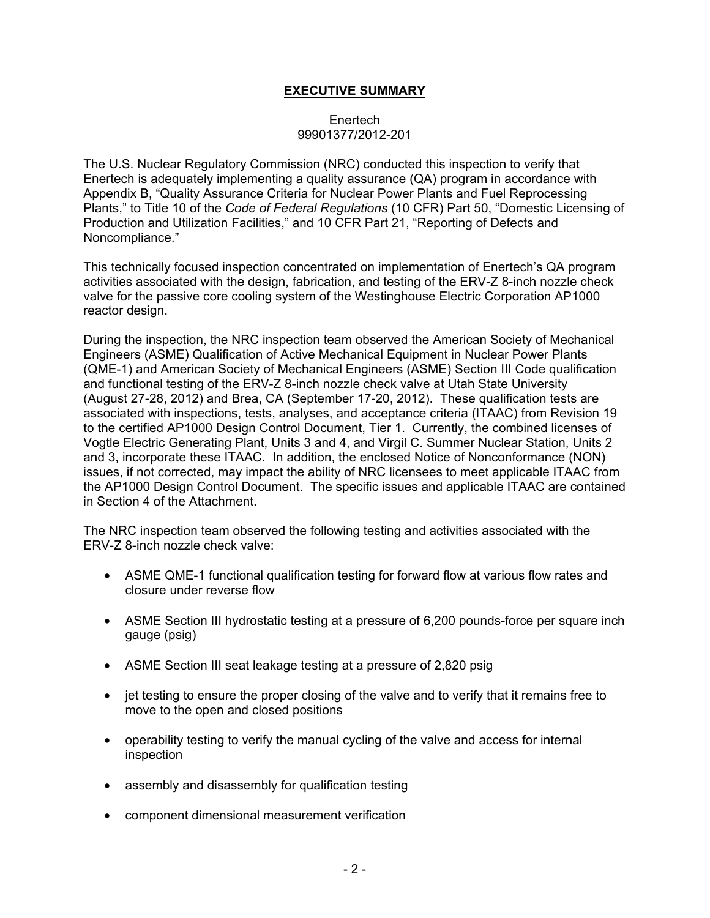## **EXECUTIVE SUMMARY**

#### Enertech 99901377/2012-201

The U.S. Nuclear Regulatory Commission (NRC) conducted this inspection to verify that Enertech is adequately implementing a quality assurance (QA) program in accordance with Appendix B, "Quality Assurance Criteria for Nuclear Power Plants and Fuel Reprocessing Plants," to Title 10 of the *Code of Federal Regulations* (10 CFR) Part 50, "Domestic Licensing of Production and Utilization Facilities," and 10 CFR Part 21, "Reporting of Defects and Noncompliance."

This technically focused inspection concentrated on implementation of Enertech's QA program activities associated with the design, fabrication, and testing of the ERV-Z 8-inch nozzle check valve for the passive core cooling system of the Westinghouse Electric Corporation AP1000 reactor design.

During the inspection, the NRC inspection team observed the American Society of Mechanical Engineers (ASME) Qualification of Active Mechanical Equipment in Nuclear Power Plants (QME-1) and American Society of Mechanical Engineers (ASME) Section III Code qualification and functional testing of the ERV-Z 8-inch nozzle check valve at Utah State University (August 27-28, 2012) and Brea, CA (September 17-20, 2012). These qualification tests are associated with inspections, tests, analyses, and acceptance criteria (ITAAC) from Revision 19 to the certified AP1000 Design Control Document, Tier 1. Currently, the combined licenses of Vogtle Electric Generating Plant, Units 3 and 4, and Virgil C. Summer Nuclear Station, Units 2 and 3, incorporate these ITAAC. In addition, the enclosed Notice of Nonconformance (NON) issues, if not corrected, may impact the ability of NRC licensees to meet applicable ITAAC from the AP1000 Design Control Document. The specific issues and applicable ITAAC are contained in Section 4 of the Attachment.

The NRC inspection team observed the following testing and activities associated with the ERV-Z 8-inch nozzle check valve:

- ASME QME-1 functional qualification testing for forward flow at various flow rates and closure under reverse flow
- ASME Section III hydrostatic testing at a pressure of 6,200 pounds-force per square inch gauge (psig)
- ASME Section III seat leakage testing at a pressure of 2,820 psig
- jet testing to ensure the proper closing of the valve and to verify that it remains free to move to the open and closed positions
- operability testing to verify the manual cycling of the valve and access for internal inspection
- assembly and disassembly for qualification testing
- component dimensional measurement verification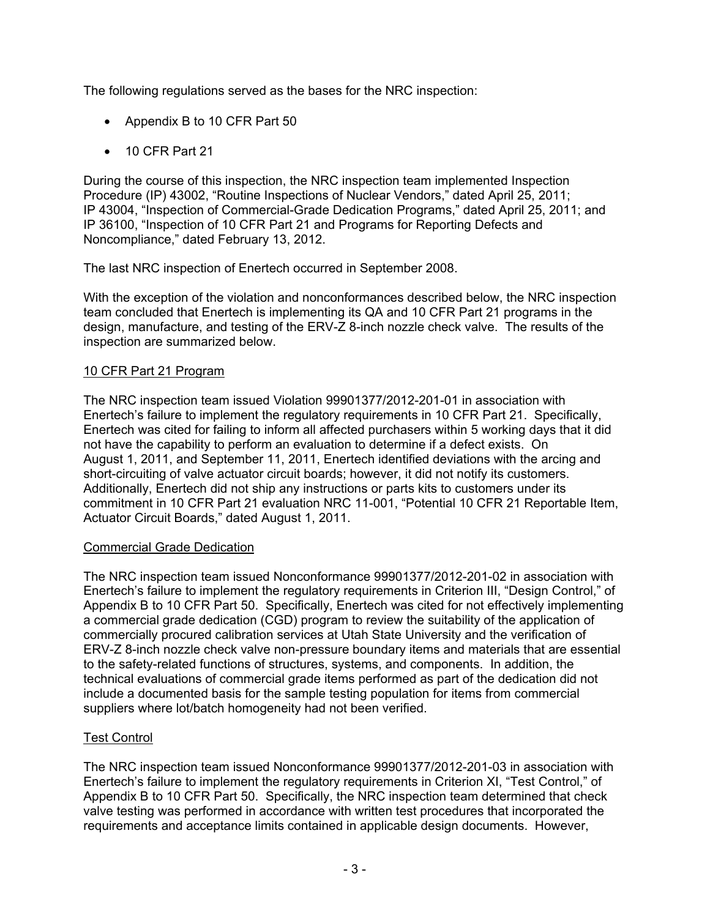The following regulations served as the bases for the NRC inspection:

- Appendix B to 10 CFR Part 50
- 10 CFR Part 21

During the course of this inspection, the NRC inspection team implemented Inspection Procedure (IP) 43002, "Routine Inspections of Nuclear Vendors," dated April 25, 2011; IP 43004, "Inspection of Commercial-Grade Dedication Programs," dated April 25, 2011; and IP 36100, "Inspection of 10 CFR Part 21 and Programs for Reporting Defects and Noncompliance," dated February 13, 2012.

The last NRC inspection of Enertech occurred in September 2008.

With the exception of the violation and nonconformances described below, the NRC inspection team concluded that Enertech is implementing its QA and 10 CFR Part 21 programs in the design, manufacture, and testing of the ERV-Z 8-inch nozzle check valve. The results of the inspection are summarized below.

## 10 CFR Part 21 Program

The NRC inspection team issued Violation 99901377/2012-201-01 in association with Enertech's failure to implement the regulatory requirements in 10 CFR Part 21. Specifically, Enertech was cited for failing to inform all affected purchasers within 5 working days that it did not have the capability to perform an evaluation to determine if a defect exists. On August 1, 2011, and September 11, 2011, Enertech identified deviations with the arcing and short-circuiting of valve actuator circuit boards; however, it did not notify its customers. Additionally, Enertech did not ship any instructions or parts kits to customers under its commitment in 10 CFR Part 21 evaluation NRC 11-001, "Potential 10 CFR 21 Reportable Item, Actuator Circuit Boards," dated August 1, 2011.

## Commercial Grade Dedication

The NRC inspection team issued Nonconformance 99901377/2012-201-02 in association with Enertech's failure to implement the regulatory requirements in Criterion III, "Design Control," of Appendix B to 10 CFR Part 50. Specifically, Enertech was cited for not effectively implementing a commercial grade dedication (CGD) program to review the suitability of the application of commercially procured calibration services at Utah State University and the verification of ERV-Z 8-inch nozzle check valve non-pressure boundary items and materials that are essential to the safety-related functions of structures, systems, and components. In addition, the technical evaluations of commercial grade items performed as part of the dedication did not include a documented basis for the sample testing population for items from commercial suppliers where lot/batch homogeneity had not been verified.

# Test Control

The NRC inspection team issued Nonconformance 99901377/2012-201-03 in association with Enertech's failure to implement the regulatory requirements in Criterion XI, "Test Control," of Appendix B to 10 CFR Part 50. Specifically, the NRC inspection team determined that check valve testing was performed in accordance with written test procedures that incorporated the requirements and acceptance limits contained in applicable design documents. However,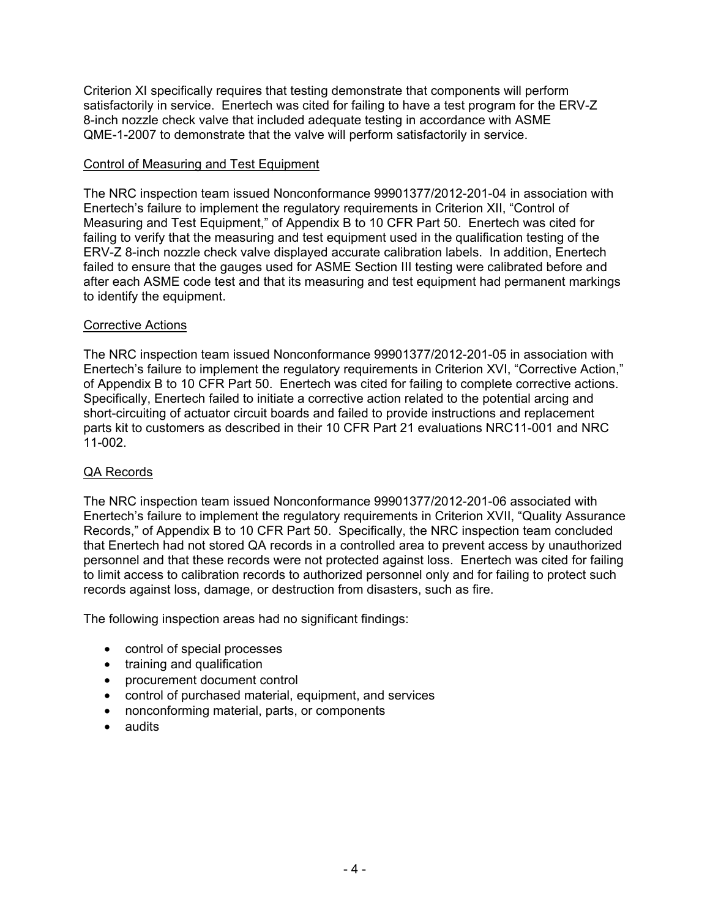Criterion XI specifically requires that testing demonstrate that components will perform satisfactorily in service. Enertech was cited for failing to have a test program for the ERV-Z 8-inch nozzle check valve that included adequate testing in accordance with ASME QME-1-2007 to demonstrate that the valve will perform satisfactorily in service.

## Control of Measuring and Test Equipment

The NRC inspection team issued Nonconformance 99901377/2012-201-04 in association with Enertech's failure to implement the regulatory requirements in Criterion XII, "Control of Measuring and Test Equipment," of Appendix B to 10 CFR Part 50. Enertech was cited for failing to verify that the measuring and test equipment used in the qualification testing of the ERV-Z 8-inch nozzle check valve displayed accurate calibration labels. In addition, Enertech failed to ensure that the gauges used for ASME Section III testing were calibrated before and after each ASME code test and that its measuring and test equipment had permanent markings to identify the equipment.

## Corrective Actions

The NRC inspection team issued Nonconformance 99901377/2012-201-05 in association with Enertech's failure to implement the regulatory requirements in Criterion XVI, "Corrective Action," of Appendix B to 10 CFR Part 50. Enertech was cited for failing to complete corrective actions. Specifically, Enertech failed to initiate a corrective action related to the potential arcing and short-circuiting of actuator circuit boards and failed to provide instructions and replacement parts kit to customers as described in their 10 CFR Part 21 evaluations NRC11-001 and NRC 11-002.

## QA Records

The NRC inspection team issued Nonconformance 99901377/2012-201-06 associated with Enertech's failure to implement the regulatory requirements in Criterion XVII, "Quality Assurance Records," of Appendix B to 10 CFR Part 50. Specifically, the NRC inspection team concluded that Enertech had not stored QA records in a controlled area to prevent access by unauthorized personnel and that these records were not protected against loss. Enertech was cited for failing to limit access to calibration records to authorized personnel only and for failing to protect such records against loss, damage, or destruction from disasters, such as fire.

The following inspection areas had no significant findings:

- control of special processes
- training and qualification
- procurement document control
- control of purchased material, equipment, and services
- nonconforming material, parts, or components
- audits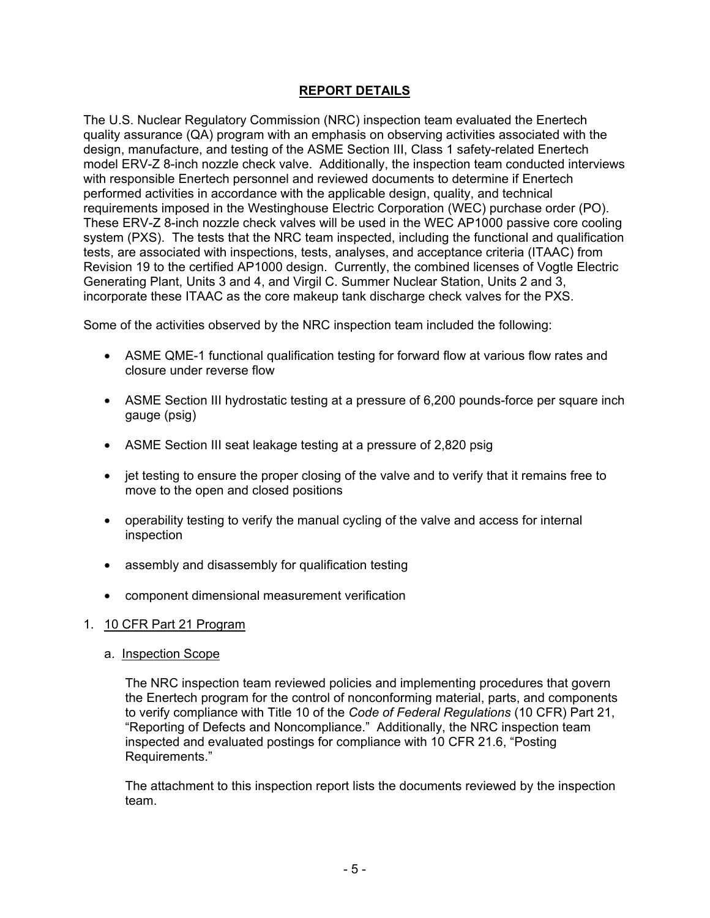# **REPORT DETAILS**

The U.S. Nuclear Regulatory Commission (NRC) inspection team evaluated the Enertech quality assurance (QA) program with an emphasis on observing activities associated with the design, manufacture, and testing of the ASME Section III, Class 1 safety-related Enertech model ERV-Z 8-inch nozzle check valve. Additionally, the inspection team conducted interviews with responsible Enertech personnel and reviewed documents to determine if Enertech performed activities in accordance with the applicable design, quality, and technical requirements imposed in the Westinghouse Electric Corporation (WEC) purchase order (PO). These ERV-Z 8-inch nozzle check valves will be used in the WEC AP1000 passive core cooling system (PXS). The tests that the NRC team inspected, including the functional and qualification tests, are associated with inspections, tests, analyses, and acceptance criteria (ITAAC) from Revision 19 to the certified AP1000 design. Currently, the combined licenses of Vogtle Electric Generating Plant, Units 3 and 4, and Virgil C. Summer Nuclear Station, Units 2 and 3, incorporate these ITAAC as the core makeup tank discharge check valves for the PXS.

Some of the activities observed by the NRC inspection team included the following:

- ASME QME-1 functional qualification testing for forward flow at various flow rates and closure under reverse flow
- ASME Section III hydrostatic testing at a pressure of 6,200 pounds-force per square inch gauge (psig)
- ASME Section III seat leakage testing at a pressure of 2,820 psig
- jet testing to ensure the proper closing of the valve and to verify that it remains free to move to the open and closed positions
- operability testing to verify the manual cycling of the valve and access for internal inspection
- assembly and disassembly for qualification testing
- component dimensional measurement verification

#### 1. 10 CFR Part 21 Program

a. Inspection Scope

The NRC inspection team reviewed policies and implementing procedures that govern the Enertech program for the control of nonconforming material, parts, and components to verify compliance with Title 10 of the *Code of Federal Regulations* (10 CFR) Part 21, "Reporting of Defects and Noncompliance." Additionally, the NRC inspection team inspected and evaluated postings for compliance with 10 CFR 21.6, "Posting Requirements."

The attachment to this inspection report lists the documents reviewed by the inspection team.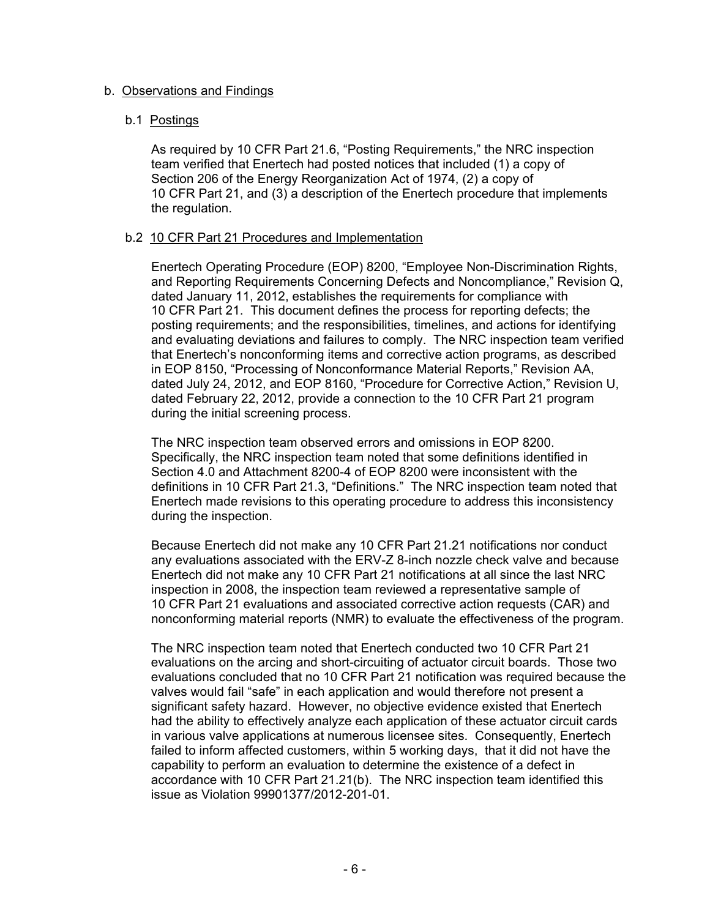#### b. Observations and Findings

#### b.1 Postings

As required by 10 CFR Part 21.6, "Posting Requirements," the NRC inspection team verified that Enertech had posted notices that included (1) a copy of Section 206 of the Energy Reorganization Act of 1974, (2) a copy of 10 CFR Part 21, and (3) a description of the Enertech procedure that implements the regulation.

#### b.2 10 CFR Part 21 Procedures and Implementation

Enertech Operating Procedure (EOP) 8200, "Employee Non-Discrimination Rights, and Reporting Requirements Concerning Defects and Noncompliance," Revision Q, dated January 11, 2012, establishes the requirements for compliance with 10 CFR Part 21. This document defines the process for reporting defects; the posting requirements; and the responsibilities, timelines, and actions for identifying and evaluating deviations and failures to comply. The NRC inspection team verified that Enertech's nonconforming items and corrective action programs, as described in EOP 8150, "Processing of Nonconformance Material Reports," Revision AA, dated July 24, 2012, and EOP 8160, "Procedure for Corrective Action," Revision U, dated February 22, 2012, provide a connection to the 10 CFR Part 21 program during the initial screening process.

The NRC inspection team observed errors and omissions in EOP 8200. Specifically, the NRC inspection team noted that some definitions identified in Section 4.0 and Attachment 8200-4 of EOP 8200 were inconsistent with the definitions in 10 CFR Part 21.3, "Definitions." The NRC inspection team noted that Enertech made revisions to this operating procedure to address this inconsistency during the inspection.

Because Enertech did not make any 10 CFR Part 21.21 notifications nor conduct any evaluations associated with the ERV-Z 8-inch nozzle check valve and because Enertech did not make any 10 CFR Part 21 notifications at all since the last NRC inspection in 2008, the inspection team reviewed a representative sample of 10 CFR Part 21 evaluations and associated corrective action requests (CAR) and nonconforming material reports (NMR) to evaluate the effectiveness of the program.

The NRC inspection team noted that Enertech conducted two 10 CFR Part 21 evaluations on the arcing and short-circuiting of actuator circuit boards. Those two evaluations concluded that no 10 CFR Part 21 notification was required because the valves would fail "safe" in each application and would therefore not present a significant safety hazard. However, no objective evidence existed that Enertech had the ability to effectively analyze each application of these actuator circuit cards in various valve applications at numerous licensee sites. Consequently, Enertech failed to inform affected customers, within 5 working days, that it did not have the capability to perform an evaluation to determine the existence of a defect in accordance with 10 CFR Part 21.21(b). The NRC inspection team identified this issue as Violation 99901377/2012-201-01.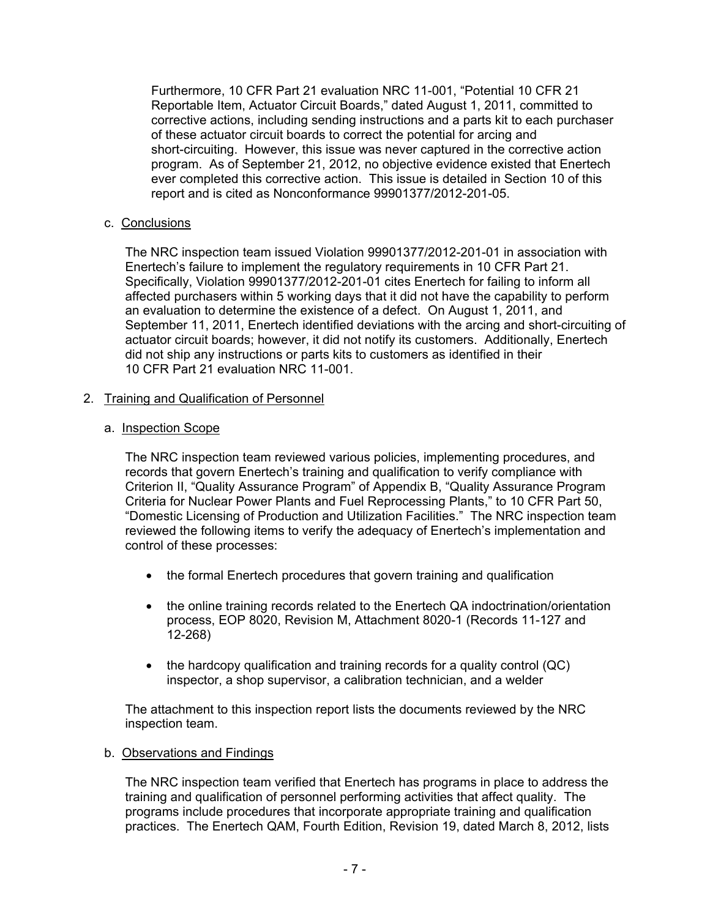Furthermore, 10 CFR Part 21 evaluation NRC 11-001, "Potential 10 CFR 21 Reportable Item, Actuator Circuit Boards," dated August 1, 2011, committed to corrective actions, including sending instructions and a parts kit to each purchaser of these actuator circuit boards to correct the potential for arcing and short-circuiting. However, this issue was never captured in the corrective action program. As of September 21, 2012, no objective evidence existed that Enertech ever completed this corrective action. This issue is detailed in Section 10 of this report and is cited as Nonconformance 99901377/2012-201-05.

## c. Conclusions

The NRC inspection team issued Violation 99901377/2012-201-01 in association with Enertech's failure to implement the regulatory requirements in 10 CFR Part 21. Specifically, Violation 99901377/2012-201-01 cites Enertech for failing to inform all affected purchasers within 5 working days that it did not have the capability to perform an evaluation to determine the existence of a defect. On August 1, 2011, and September 11, 2011, Enertech identified deviations with the arcing and short-circuiting of actuator circuit boards; however, it did not notify its customers. Additionally, Enertech did not ship any instructions or parts kits to customers as identified in their 10 CFR Part 21 evaluation NRC 11-001.

## 2. Training and Qualification of Personnel

## a. Inspection Scope

The NRC inspection team reviewed various policies, implementing procedures, and records that govern Enertech's training and qualification to verify compliance with Criterion II, "Quality Assurance Program" of Appendix B, "Quality Assurance Program Criteria for Nuclear Power Plants and Fuel Reprocessing Plants," to 10 CFR Part 50, "Domestic Licensing of Production and Utilization Facilities." The NRC inspection team reviewed the following items to verify the adequacy of Enertech's implementation and control of these processes:

- the formal Enertech procedures that govern training and qualification
- the online training records related to the Enertech QA indoctrination/orientation process, EOP 8020, Revision M, Attachment 8020-1 (Records 11-127 and 12-268)
- the hardcopy qualification and training records for a quality control (QC) inspector, a shop supervisor, a calibration technician, and a welder

The attachment to this inspection report lists the documents reviewed by the NRC inspection team.

## b. Observations and Findings

The NRC inspection team verified that Enertech has programs in place to address the training and qualification of personnel performing activities that affect quality. The programs include procedures that incorporate appropriate training and qualification practices. The Enertech QAM, Fourth Edition, Revision 19, dated March 8, 2012, lists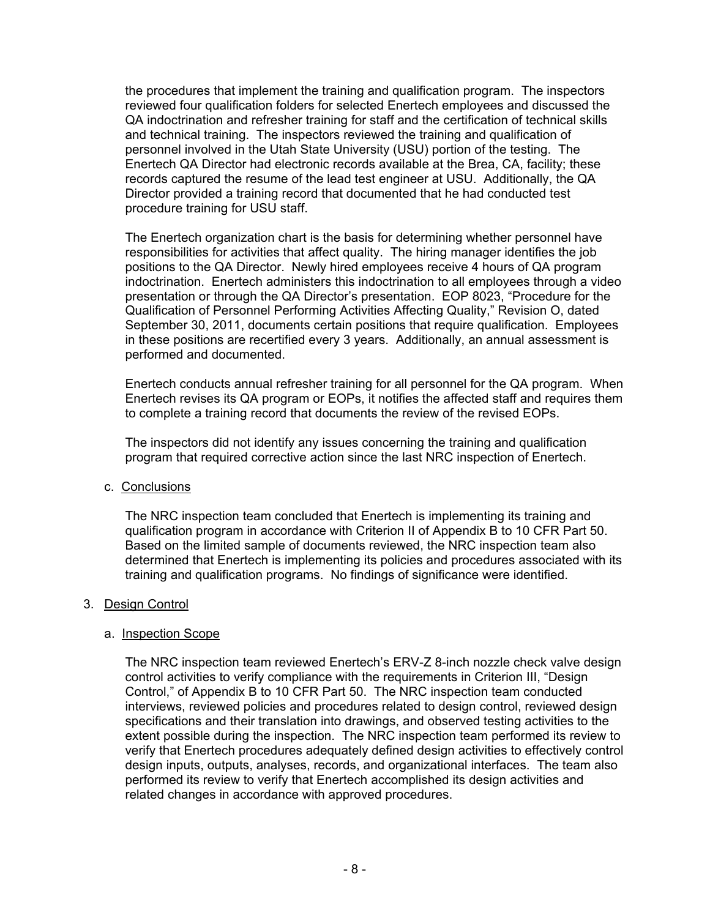the procedures that implement the training and qualification program. The inspectors reviewed four qualification folders for selected Enertech employees and discussed the QA indoctrination and refresher training for staff and the certification of technical skills and technical training. The inspectors reviewed the training and qualification of personnel involved in the Utah State University (USU) portion of the testing. The Enertech QA Director had electronic records available at the Brea, CA, facility; these records captured the resume of the lead test engineer at USU. Additionally, the QA Director provided a training record that documented that he had conducted test procedure training for USU staff.

The Enertech organization chart is the basis for determining whether personnel have responsibilities for activities that affect quality. The hiring manager identifies the job positions to the QA Director. Newly hired employees receive 4 hours of QA program indoctrination. Enertech administers this indoctrination to all employees through a video presentation or through the QA Director's presentation. EOP 8023, "Procedure for the Qualification of Personnel Performing Activities Affecting Quality," Revision O, dated September 30, 2011, documents certain positions that require qualification. Employees in these positions are recertified every 3 years. Additionally, an annual assessment is performed and documented.

Enertech conducts annual refresher training for all personnel for the QA program. When Enertech revises its QA program or EOPs, it notifies the affected staff and requires them to complete a training record that documents the review of the revised EOPs.

The inspectors did not identify any issues concerning the training and qualification program that required corrective action since the last NRC inspection of Enertech.

c. Conclusions

The NRC inspection team concluded that Enertech is implementing its training and qualification program in accordance with Criterion II of Appendix B to 10 CFR Part 50. Based on the limited sample of documents reviewed, the NRC inspection team also determined that Enertech is implementing its policies and procedures associated with its training and qualification programs. No findings of significance were identified.

#### 3. Design Control

#### a. Inspection Scope

The NRC inspection team reviewed Enertech's ERV-Z 8-inch nozzle check valve design control activities to verify compliance with the requirements in Criterion III, "Design Control," of Appendix B to 10 CFR Part 50. The NRC inspection team conducted interviews, reviewed policies and procedures related to design control, reviewed design specifications and their translation into drawings, and observed testing activities to the extent possible during the inspection. The NRC inspection team performed its review to verify that Enertech procedures adequately defined design activities to effectively control design inputs, outputs, analyses, records, and organizational interfaces. The team also performed its review to verify that Enertech accomplished its design activities and related changes in accordance with approved procedures.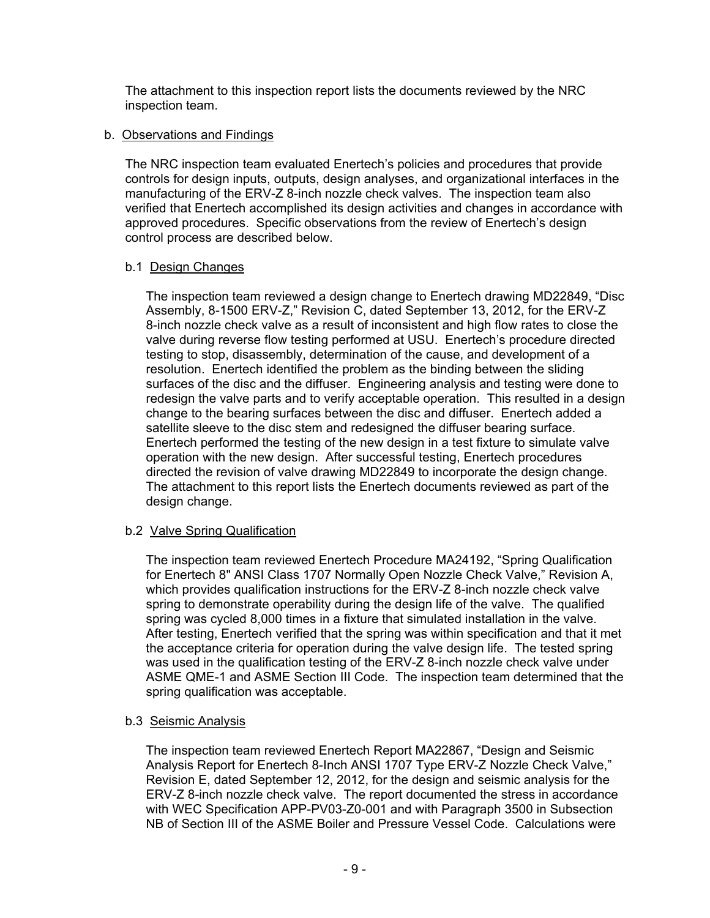The attachment to this inspection report lists the documents reviewed by the NRC inspection team.

#### b. Observations and Findings

The NRC inspection team evaluated Enertech's policies and procedures that provide controls for design inputs, outputs, design analyses, and organizational interfaces in the manufacturing of the ERV-Z 8-inch nozzle check valves. The inspection team also verified that Enertech accomplished its design activities and changes in accordance with approved procedures. Specific observations from the review of Enertech's design control process are described below.

## b.1 Design Changes

The inspection team reviewed a design change to Enertech drawing MD22849, "Disc Assembly, 8-1500 ERV-Z," Revision C, dated September 13, 2012, for the ERV-Z 8-inch nozzle check valve as a result of inconsistent and high flow rates to close the valve during reverse flow testing performed at USU. Enertech's procedure directed testing to stop, disassembly, determination of the cause, and development of a resolution. Enertech identified the problem as the binding between the sliding surfaces of the disc and the diffuser. Engineering analysis and testing were done to redesign the valve parts and to verify acceptable operation. This resulted in a design change to the bearing surfaces between the disc and diffuser. Enertech added a satellite sleeve to the disc stem and redesigned the diffuser bearing surface. Enertech performed the testing of the new design in a test fixture to simulate valve operation with the new design. After successful testing, Enertech procedures directed the revision of valve drawing MD22849 to incorporate the design change. The attachment to this report lists the Enertech documents reviewed as part of the design change.

## b.2 Valve Spring Qualification

The inspection team reviewed Enertech Procedure MA24192, "Spring Qualification for Enertech 8" ANSI Class 1707 Normally Open Nozzle Check Valve," Revision A, which provides qualification instructions for the ERV-Z 8-inch nozzle check valve spring to demonstrate operability during the design life of the valve. The qualified spring was cycled 8,000 times in a fixture that simulated installation in the valve. After testing, Enertech verified that the spring was within specification and that it met the acceptance criteria for operation during the valve design life. The tested spring was used in the qualification testing of the ERV-Z 8-inch nozzle check valve under ASME QME-1 and ASME Section III Code. The inspection team determined that the spring qualification was acceptable.

## b.3 Seismic Analysis

The inspection team reviewed Enertech Report MA22867, "Design and Seismic Analysis Report for Enertech 8-Inch ANSI 1707 Type ERV-Z Nozzle Check Valve," Revision E, dated September 12, 2012, for the design and seismic analysis for the ERV-Z 8-inch nozzle check valve. The report documented the stress in accordance with WEC Specification APP-PV03-Z0-001 and with Paragraph 3500 in Subsection NB of Section III of the ASME Boiler and Pressure Vessel Code. Calculations were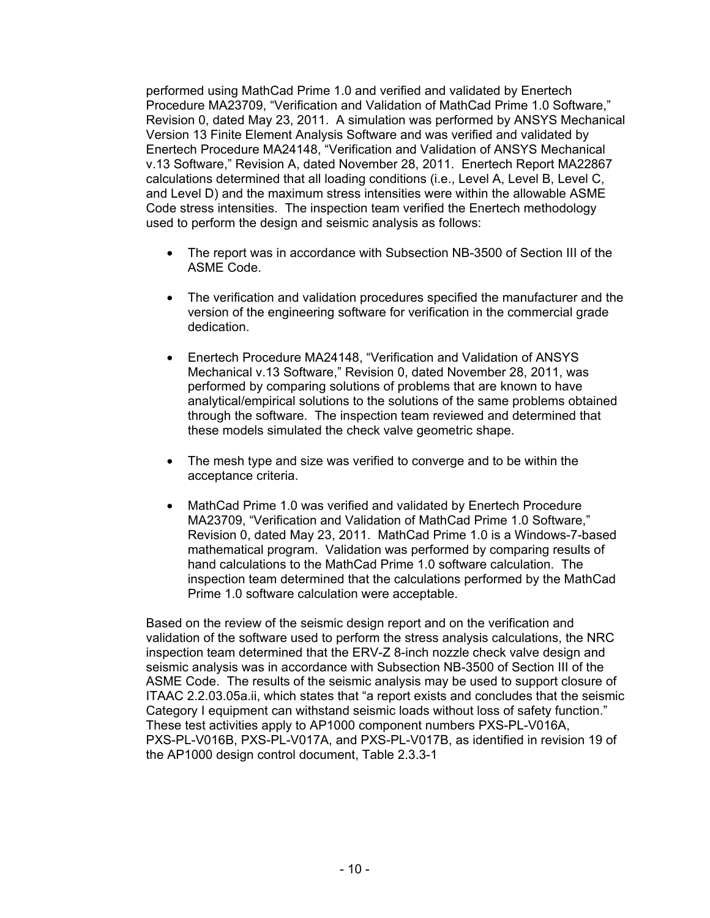performed using MathCad Prime 1.0 and verified and validated by Enertech Procedure MA23709, "Verification and Validation of MathCad Prime 1.0 Software," Revision 0, dated May 23, 2011. A simulation was performed by ANSYS Mechanical Version 13 Finite Element Analysis Software and was verified and validated by Enertech Procedure MA24148, "Verification and Validation of ANSYS Mechanical v.13 Software," Revision A, dated November 28, 2011. Enertech Report MA22867 calculations determined that all loading conditions (i.e., Level A, Level B, Level C, and Level D) and the maximum stress intensities were within the allowable ASME Code stress intensities. The inspection team verified the Enertech methodology used to perform the design and seismic analysis as follows:

- The report was in accordance with Subsection NB-3500 of Section III of the ASME Code.
- The verification and validation procedures specified the manufacturer and the version of the engineering software for verification in the commercial grade dedication.
- Enertech Procedure MA24148, "Verification and Validation of ANSYS Mechanical v.13 Software," Revision 0, dated November 28, 2011, was performed by comparing solutions of problems that are known to have analytical/empirical solutions to the solutions of the same problems obtained through the software. The inspection team reviewed and determined that these models simulated the check valve geometric shape.
- The mesh type and size was verified to converge and to be within the acceptance criteria.
- MathCad Prime 1.0 was verified and validated by Enertech Procedure MA23709, "Verification and Validation of MathCad Prime 1.0 Software," Revision 0, dated May 23, 2011. MathCad Prime 1.0 is a Windows-7-based mathematical program. Validation was performed by comparing results of hand calculations to the MathCad Prime 1.0 software calculation. The inspection team determined that the calculations performed by the MathCad Prime 1.0 software calculation were acceptable.

Based on the review of the seismic design report and on the verification and validation of the software used to perform the stress analysis calculations, the NRC inspection team determined that the ERV-Z 8-inch nozzle check valve design and seismic analysis was in accordance with Subsection NB-3500 of Section III of the ASME Code. The results of the seismic analysis may be used to support closure of ITAAC 2.2.03.05a.ii, which states that "a report exists and concludes that the seismic Category I equipment can withstand seismic loads without loss of safety function." These test activities apply to AP1000 component numbers PXS-PL-V016A, PXS-PL-V016B, PXS-PL-V017A, and PXS-PL-V017B, as identified in revision 19 of the AP1000 design control document, Table 2.3.3-1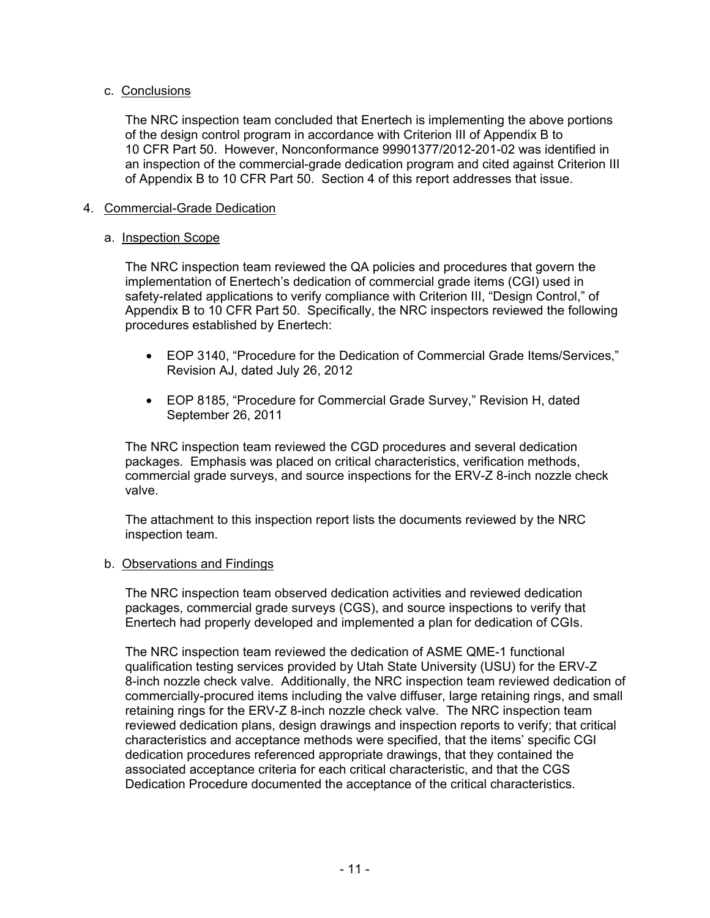## c. Conclusions

The NRC inspection team concluded that Enertech is implementing the above portions of the design control program in accordance with Criterion III of Appendix B to 10 CFR Part 50. However, Nonconformance 99901377/2012-201-02 was identified in an inspection of the commercial-grade dedication program and cited against Criterion III of Appendix B to 10 CFR Part 50. Section 4 of this report addresses that issue.

## 4. Commercial-Grade Dedication

## a. Inspection Scope

The NRC inspection team reviewed the QA policies and procedures that govern the implementation of Enertech's dedication of commercial grade items (CGI) used in safety-related applications to verify compliance with Criterion III, "Design Control," of Appendix B to 10 CFR Part 50. Specifically, the NRC inspectors reviewed the following procedures established by Enertech:

- EOP 3140, "Procedure for the Dedication of Commercial Grade Items/Services," Revision AJ, dated July 26, 2012
- EOP 8185, "Procedure for Commercial Grade Survey," Revision H, dated September 26, 2011

The NRC inspection team reviewed the CGD procedures and several dedication packages. Emphasis was placed on critical characteristics, verification methods, commercial grade surveys, and source inspections for the ERV-Z 8-inch nozzle check valve.

The attachment to this inspection report lists the documents reviewed by the NRC inspection team.

## b. Observations and Findings

The NRC inspection team observed dedication activities and reviewed dedication packages, commercial grade surveys (CGS), and source inspections to verify that Enertech had properly developed and implemented a plan for dedication of CGIs.

The NRC inspection team reviewed the dedication of ASME QME-1 functional qualification testing services provided by Utah State University (USU) for the ERV-Z 8-inch nozzle check valve. Additionally, the NRC inspection team reviewed dedication of commercially-procured items including the valve diffuser, large retaining rings, and small retaining rings for the ERV-Z 8-inch nozzle check valve. The NRC inspection team reviewed dedication plans, design drawings and inspection reports to verify; that critical characteristics and acceptance methods were specified, that the items' specific CGI dedication procedures referenced appropriate drawings, that they contained the associated acceptance criteria for each critical characteristic, and that the CGS Dedication Procedure documented the acceptance of the critical characteristics.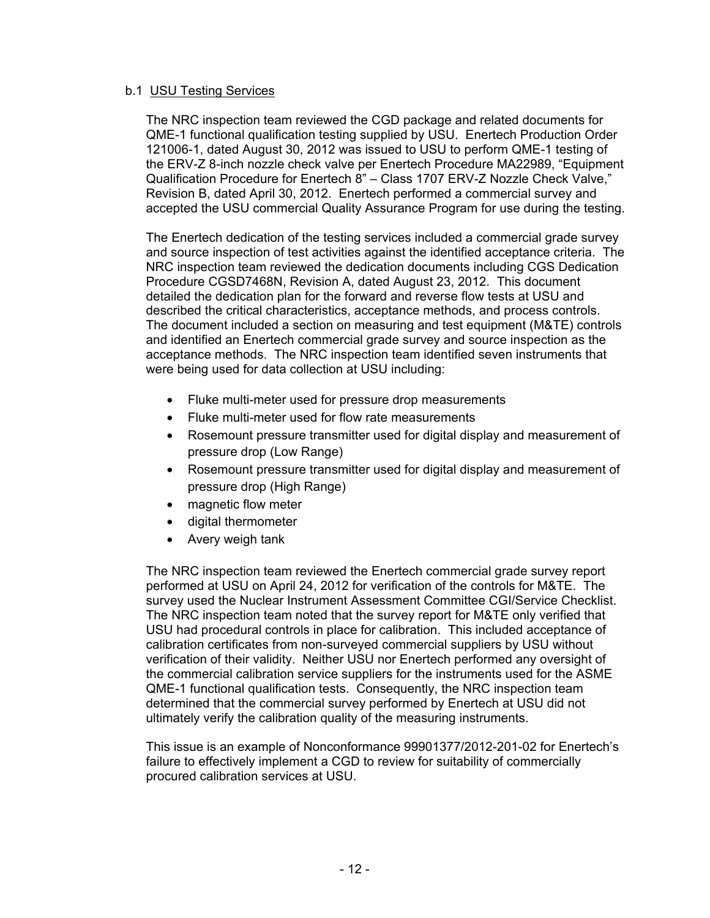#### b.1 USU Testing Services

The NRC inspection team reviewed the CGD package and related documents for QME-1 functional qualification testing supplied by USU. Enertech Production Order 121006-1, dated August 30, 2012 was issued to USU to perform QME-1 testing of the ERV-Z 8-inch nozzle check valve per Enertech Procedure MA22989, "Equipment Qualification Procedure for Enertech 8" – Class 1707 ERV-Z Nozzle Check Valve," Revision B, dated April 30, 2012. Enertech performed a commercial survey and accepted the USU commercial Quality Assurance Program for use during the testing.

The Enertech dedication of the testing services included a commercial grade survey and source inspection of test activities against the identified acceptance criteria. The NRC inspection team reviewed the dedication documents including CGS Dedication Procedure CGSD7468N, Revision A, dated August 23, 2012. This document detailed the dedication plan for the forward and reverse flow tests at USU and described the critical characteristics, acceptance methods, and process controls. The document included a section on measuring and test equipment (M&TE) controls and identified an Enertech commercial grade survey and source inspection as the acceptance methods. The NRC inspection team identified seven instruments that were being used for data collection at USU including:

- Fluke multi-meter used for pressure drop measurements
- Fluke multi-meter used for flow rate measurements
- Rosemount pressure transmitter used for digital display and measurement of pressure drop (Low Range)
- Rosemount pressure transmitter used for digital display and measurement of pressure drop (High Range)
- magnetic flow meter
- digital thermometer
- Avery weigh tank

The NRC inspection team reviewed the Enertech commercial grade survey report performed at USU on April 24, 2012 for verification of the controls for M&TE. The survey used the Nuclear Instrument Assessment Committee CGI/Service Checklist. The NRC inspection team noted that the survey report for M&TE only verified that USU had procedural controls in place for calibration. This included acceptance of calibration certificates from non-surveyed commercial suppliers by USU without verification of their validity. Neither USU nor Enertech performed any oversight of the commercial calibration service suppliers for the instruments used for the ASME QME-1 functional qualification tests. Consequently, the NRC inspection team determined that the commercial survey performed by Enertech at USU did not ultimately verify the calibration quality of the measuring instruments.

This issue is an example of Nonconformance 99901377/2012-201-02 for Enertech's failure to effectively implement a CGD to review for suitability of commercially procured calibration services at USU.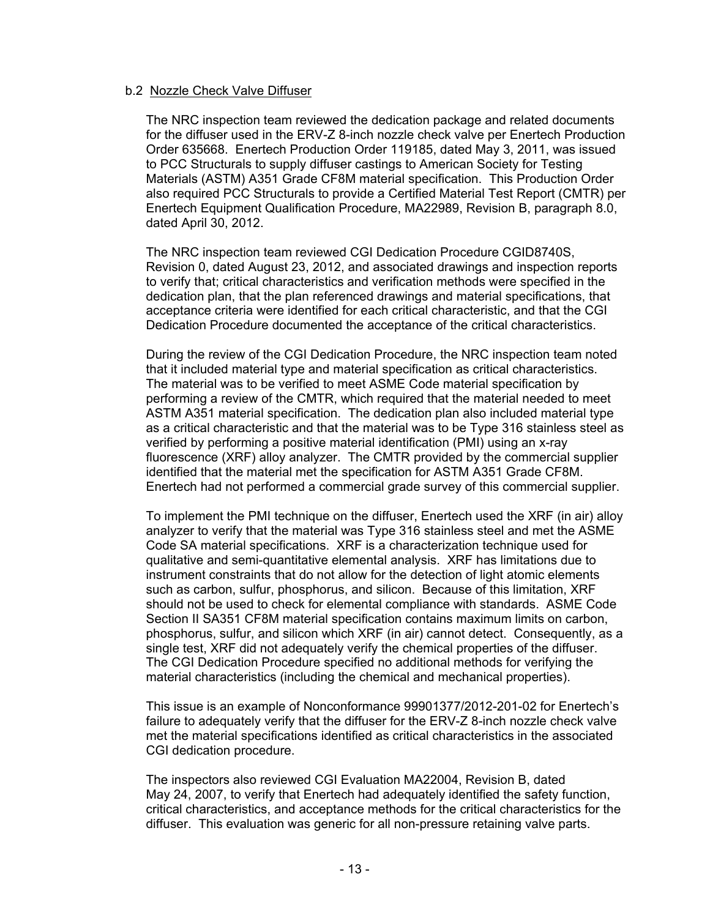#### b.2 Nozzle Check Valve Diffuser

The NRC inspection team reviewed the dedication package and related documents for the diffuser used in the ERV-Z 8-inch nozzle check valve per Enertech Production Order 635668. Enertech Production Order 119185, dated May 3, 2011, was issued to PCC Structurals to supply diffuser castings to American Society for Testing Materials (ASTM) A351 Grade CF8M material specification. This Production Order also required PCC Structurals to provide a Certified Material Test Report (CMTR) per Enertech Equipment Qualification Procedure, MA22989, Revision B, paragraph 8.0, dated April 30, 2012.

The NRC inspection team reviewed CGI Dedication Procedure CGID8740S, Revision 0, dated August 23, 2012, and associated drawings and inspection reports to verify that; critical characteristics and verification methods were specified in the dedication plan, that the plan referenced drawings and material specifications, that acceptance criteria were identified for each critical characteristic, and that the CGI Dedication Procedure documented the acceptance of the critical characteristics.

During the review of the CGI Dedication Procedure, the NRC inspection team noted that it included material type and material specification as critical characteristics. The material was to be verified to meet ASME Code material specification by performing a review of the CMTR, which required that the material needed to meet ASTM A351 material specification. The dedication plan also included material type as a critical characteristic and that the material was to be Type 316 stainless steel as verified by performing a positive material identification (PMI) using an x-ray fluorescence (XRF) alloy analyzer. The CMTR provided by the commercial supplier identified that the material met the specification for ASTM A351 Grade CF8M. Enertech had not performed a commercial grade survey of this commercial supplier.

To implement the PMI technique on the diffuser, Enertech used the XRF (in air) alloy analyzer to verify that the material was Type 316 stainless steel and met the ASME Code SA material specifications. XRF is a characterization technique used for qualitative and semi-quantitative elemental analysis. XRF has limitations due to instrument constraints that do not allow for the detection of light atomic elements such as carbon, sulfur, phosphorus, and silicon. Because of this limitation, XRF should not be used to check for elemental compliance with standards. ASME Code Section II SA351 CF8M material specification contains maximum limits on carbon, phosphorus, sulfur, and silicon which XRF (in air) cannot detect. Consequently, as a single test, XRF did not adequately verify the chemical properties of the diffuser. The CGI Dedication Procedure specified no additional methods for verifying the material characteristics (including the chemical and mechanical properties).

This issue is an example of Nonconformance 99901377/2012-201-02 for Enertech's failure to adequately verify that the diffuser for the ERV-Z 8-inch nozzle check valve met the material specifications identified as critical characteristics in the associated CGI dedication procedure.

The inspectors also reviewed CGI Evaluation MA22004, Revision B, dated May 24, 2007, to verify that Enertech had adequately identified the safety function, critical characteristics, and acceptance methods for the critical characteristics for the diffuser. This evaluation was generic for all non-pressure retaining valve parts.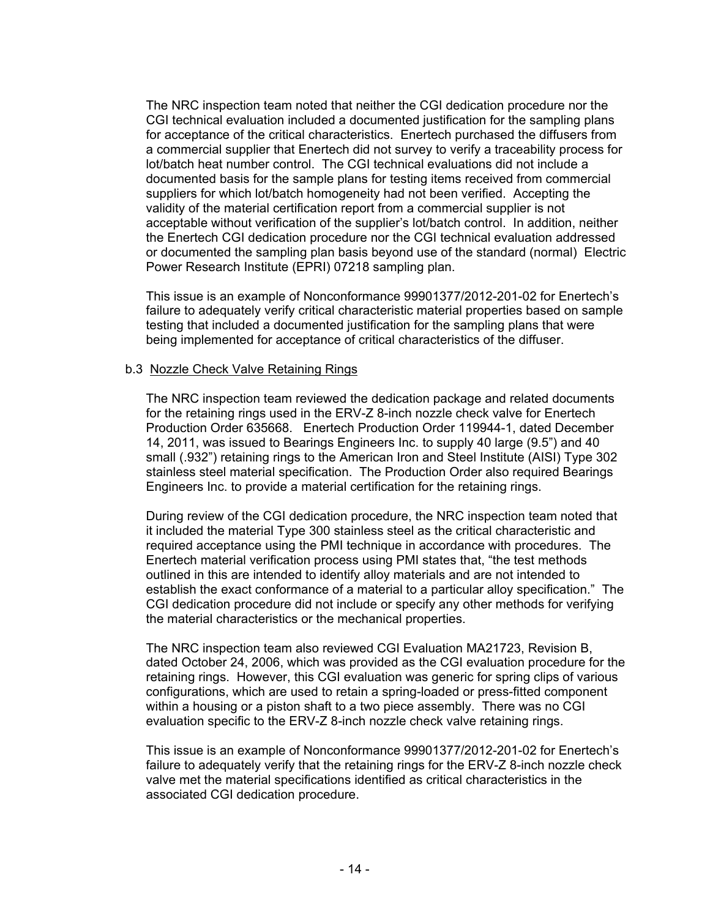The NRC inspection team noted that neither the CGI dedication procedure nor the CGI technical evaluation included a documented justification for the sampling plans for acceptance of the critical characteristics. Enertech purchased the diffusers from a commercial supplier that Enertech did not survey to verify a traceability process for lot/batch heat number control. The CGI technical evaluations did not include a documented basis for the sample plans for testing items received from commercial suppliers for which lot/batch homogeneity had not been verified. Accepting the validity of the material certification report from a commercial supplier is not acceptable without verification of the supplier's lot/batch control. In addition, neither the Enertech CGI dedication procedure nor the CGI technical evaluation addressed or documented the sampling plan basis beyond use of the standard (normal) Electric Power Research Institute (EPRI) 07218 sampling plan.

This issue is an example of Nonconformance 99901377/2012-201-02 for Enertech's failure to adequately verify critical characteristic material properties based on sample testing that included a documented justification for the sampling plans that were being implemented for acceptance of critical characteristics of the diffuser.

#### b.3 Nozzle Check Valve Retaining Rings

The NRC inspection team reviewed the dedication package and related documents for the retaining rings used in the ERV-Z 8-inch nozzle check valve for Enertech Production Order 635668. Enertech Production Order 119944-1, dated December 14, 2011, was issued to Bearings Engineers Inc. to supply 40 large (9.5") and 40 small (.932") retaining rings to the American Iron and Steel Institute (AISI) Type 302 stainless steel material specification. The Production Order also required Bearings Engineers Inc. to provide a material certification for the retaining rings.

During review of the CGI dedication procedure, the NRC inspection team noted that it included the material Type 300 stainless steel as the critical characteristic and required acceptance using the PMI technique in accordance with procedures. The Enertech material verification process using PMI states that, "the test methods outlined in this are intended to identify alloy materials and are not intended to establish the exact conformance of a material to a particular alloy specification." The CGI dedication procedure did not include or specify any other methods for verifying the material characteristics or the mechanical properties.

The NRC inspection team also reviewed CGI Evaluation MA21723, Revision B, dated October 24, 2006, which was provided as the CGI evaluation procedure for the retaining rings. However, this CGI evaluation was generic for spring clips of various configurations, which are used to retain a spring-loaded or press-fitted component within a housing or a piston shaft to a two piece assembly. There was no CGI evaluation specific to the ERV-Z 8-inch nozzle check valve retaining rings.

This issue is an example of Nonconformance 99901377/2012-201-02 for Enertech's failure to adequately verify that the retaining rings for the ERV-Z 8-inch nozzle check valve met the material specifications identified as critical characteristics in the associated CGI dedication procedure.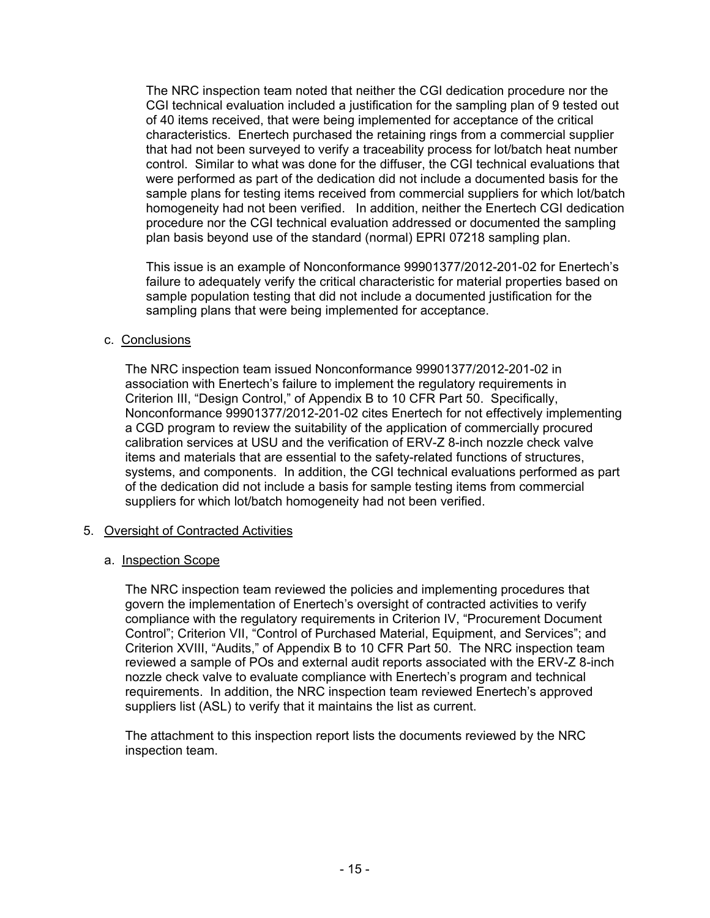The NRC inspection team noted that neither the CGI dedication procedure nor the CGI technical evaluation included a justification for the sampling plan of 9 tested out of 40 items received, that were being implemented for acceptance of the critical characteristics. Enertech purchased the retaining rings from a commercial supplier that had not been surveyed to verify a traceability process for lot/batch heat number control. Similar to what was done for the diffuser, the CGI technical evaluations that were performed as part of the dedication did not include a documented basis for the sample plans for testing items received from commercial suppliers for which lot/batch homogeneity had not been verified. In addition, neither the Enertech CGI dedication procedure nor the CGI technical evaluation addressed or documented the sampling plan basis beyond use of the standard (normal) EPRI 07218 sampling plan.

This issue is an example of Nonconformance 99901377/2012-201-02 for Enertech's failure to adequately verify the critical characteristic for material properties based on sample population testing that did not include a documented justification for the sampling plans that were being implemented for acceptance.

#### c. Conclusions

The NRC inspection team issued Nonconformance 99901377/2012-201-02 in association with Enertech's failure to implement the regulatory requirements in Criterion III, "Design Control," of Appendix B to 10 CFR Part 50. Specifically, Nonconformance 99901377/2012-201-02 cites Enertech for not effectively implementing a CGD program to review the suitability of the application of commercially procured calibration services at USU and the verification of ERV-Z 8-inch nozzle check valve items and materials that are essential to the safety-related functions of structures, systems, and components. In addition, the CGI technical evaluations performed as part of the dedication did not include a basis for sample testing items from commercial suppliers for which lot/batch homogeneity had not been verified.

## 5. Oversight of Contracted Activities

#### a. Inspection Scope

The NRC inspection team reviewed the policies and implementing procedures that govern the implementation of Enertech's oversight of contracted activities to verify compliance with the regulatory requirements in Criterion IV, "Procurement Document Control"; Criterion VII, "Control of Purchased Material, Equipment, and Services"; and Criterion XVIII, "Audits," of Appendix B to 10 CFR Part 50. The NRC inspection team reviewed a sample of POs and external audit reports associated with the ERV-Z 8-inch nozzle check valve to evaluate compliance with Enertech's program and technical requirements. In addition, the NRC inspection team reviewed Enertech's approved suppliers list (ASL) to verify that it maintains the list as current.

The attachment to this inspection report lists the documents reviewed by the NRC inspection team.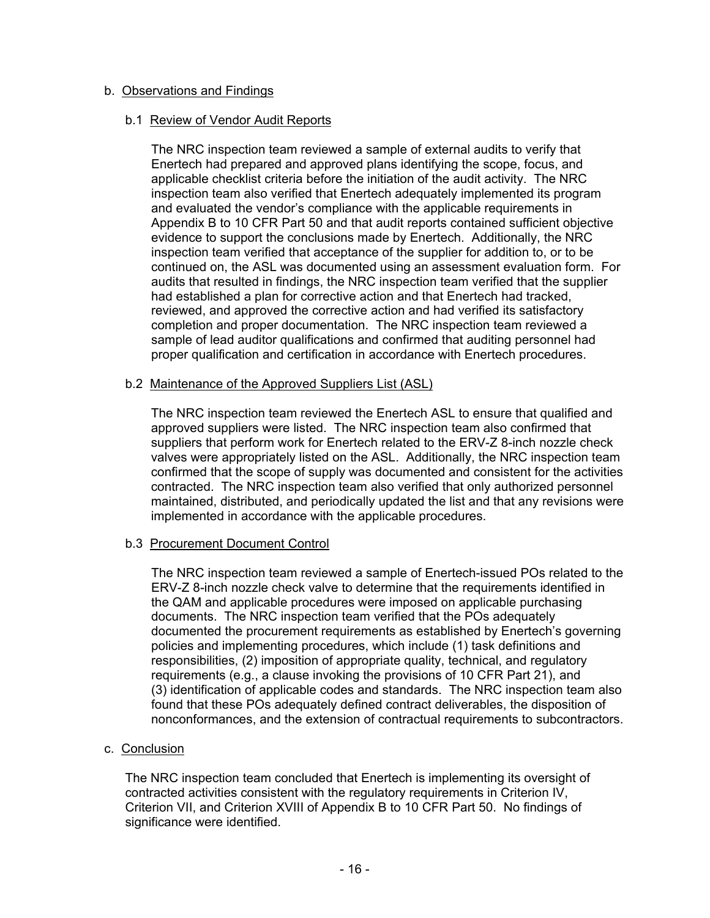## b. Observations and Findings

#### b.1 Review of Vendor Audit Reports

The NRC inspection team reviewed a sample of external audits to verify that Enertech had prepared and approved plans identifying the scope, focus, and applicable checklist criteria before the initiation of the audit activity. The NRC inspection team also verified that Enertech adequately implemented its program and evaluated the vendor's compliance with the applicable requirements in Appendix B to 10 CFR Part 50 and that audit reports contained sufficient objective evidence to support the conclusions made by Enertech. Additionally, the NRC inspection team verified that acceptance of the supplier for addition to, or to be continued on, the ASL was documented using an assessment evaluation form. For audits that resulted in findings, the NRC inspection team verified that the supplier had established a plan for corrective action and that Enertech had tracked, reviewed, and approved the corrective action and had verified its satisfactory completion and proper documentation. The NRC inspection team reviewed a sample of lead auditor qualifications and confirmed that auditing personnel had proper qualification and certification in accordance with Enertech procedures.

## b.2 Maintenance of the Approved Suppliers List (ASL)

The NRC inspection team reviewed the Enertech ASL to ensure that qualified and approved suppliers were listed. The NRC inspection team also confirmed that suppliers that perform work for Enertech related to the ERV-Z 8-inch nozzle check valves were appropriately listed on the ASL. Additionally, the NRC inspection team confirmed that the scope of supply was documented and consistent for the activities contracted. The NRC inspection team also verified that only authorized personnel maintained, distributed, and periodically updated the list and that any revisions were implemented in accordance with the applicable procedures.

## b.3 Procurement Document Control

The NRC inspection team reviewed a sample of Enertech-issued POs related to the ERV-Z 8-inch nozzle check valve to determine that the requirements identified in the QAM and applicable procedures were imposed on applicable purchasing documents. The NRC inspection team verified that the POs adequately documented the procurement requirements as established by Enertech's governing policies and implementing procedures, which include (1) task definitions and responsibilities, (2) imposition of appropriate quality, technical, and regulatory requirements (e.g., a clause invoking the provisions of 10 CFR Part 21), and (3) identification of applicable codes and standards. The NRC inspection team also found that these POs adequately defined contract deliverables, the disposition of nonconformances, and the extension of contractual requirements to subcontractors.

## c. Conclusion

The NRC inspection team concluded that Enertech is implementing its oversight of contracted activities consistent with the regulatory requirements in Criterion IV, Criterion VII, and Criterion XVIII of Appendix B to 10 CFR Part 50. No findings of significance were identified.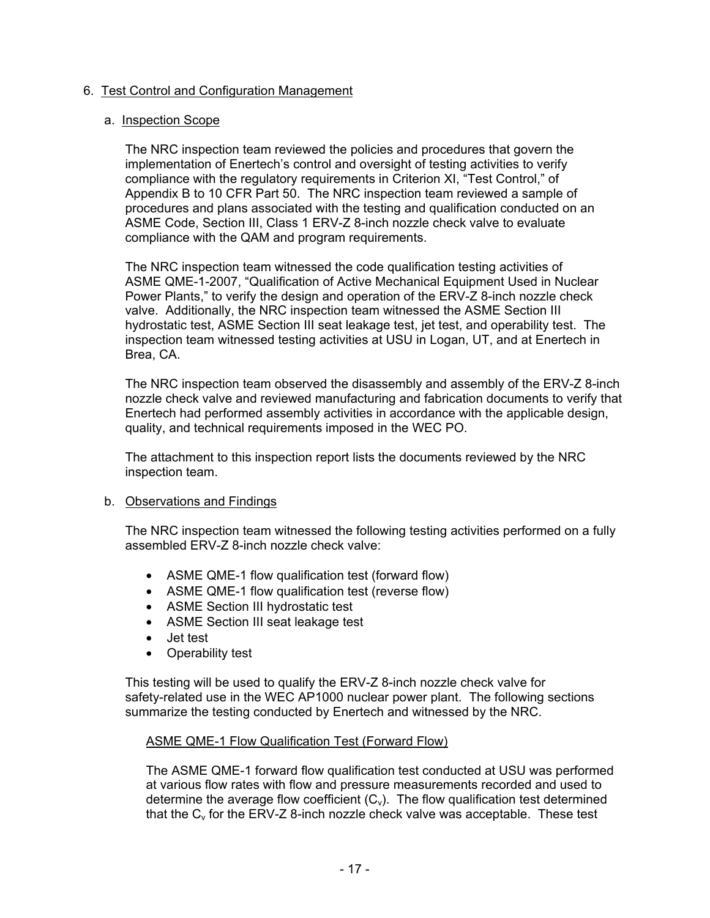## 6. Test Control and Configuration Management

#### a. Inspection Scope

The NRC inspection team reviewed the policies and procedures that govern the implementation of Enertech's control and oversight of testing activities to verify compliance with the regulatory requirements in Criterion XI, "Test Control," of Appendix B to 10 CFR Part 50. The NRC inspection team reviewed a sample of procedures and plans associated with the testing and qualification conducted on an ASME Code, Section III, Class 1 ERV-Z 8-inch nozzle check valve to evaluate compliance with the QAM and program requirements.

The NRC inspection team witnessed the code qualification testing activities of ASME QME-1-2007, "Qualification of Active Mechanical Equipment Used in Nuclear Power Plants," to verify the design and operation of the ERV-Z 8-inch nozzle check valve. Additionally, the NRC inspection team witnessed the ASME Section III hydrostatic test, ASME Section III seat leakage test, jet test, and operability test. The inspection team witnessed testing activities at USU in Logan, UT, and at Enertech in Brea, CA.

The NRC inspection team observed the disassembly and assembly of the ERV-Z 8-inch nozzle check valve and reviewed manufacturing and fabrication documents to verify that Enertech had performed assembly activities in accordance with the applicable design, quality, and technical requirements imposed in the WEC PO.

The attachment to this inspection report lists the documents reviewed by the NRC inspection team.

## b. Observations and Findings

The NRC inspection team witnessed the following testing activities performed on a fully assembled ERV-Z 8-inch nozzle check valve:

- ASME QME-1 flow qualification test (forward flow)
- ASME QME-1 flow qualification test (reverse flow)
- ASME Section III hydrostatic test
- ASME Section III seat leakage test
- Jet test
- Operability test

This testing will be used to qualify the ERV-Z 8-inch nozzle check valve for safety-related use in the WEC AP1000 nuclear power plant. The following sections summarize the testing conducted by Enertech and witnessed by the NRC.

#### ASME QME-1 Flow Qualification Test (Forward Flow)

The ASME QME-1 forward flow qualification test conducted at USU was performed at various flow rates with flow and pressure measurements recorded and used to determine the average flow coefficient  $(C_v)$ . The flow qualification test determined that the  $C_v$  for the ERV-Z 8-inch nozzle check valve was acceptable. These test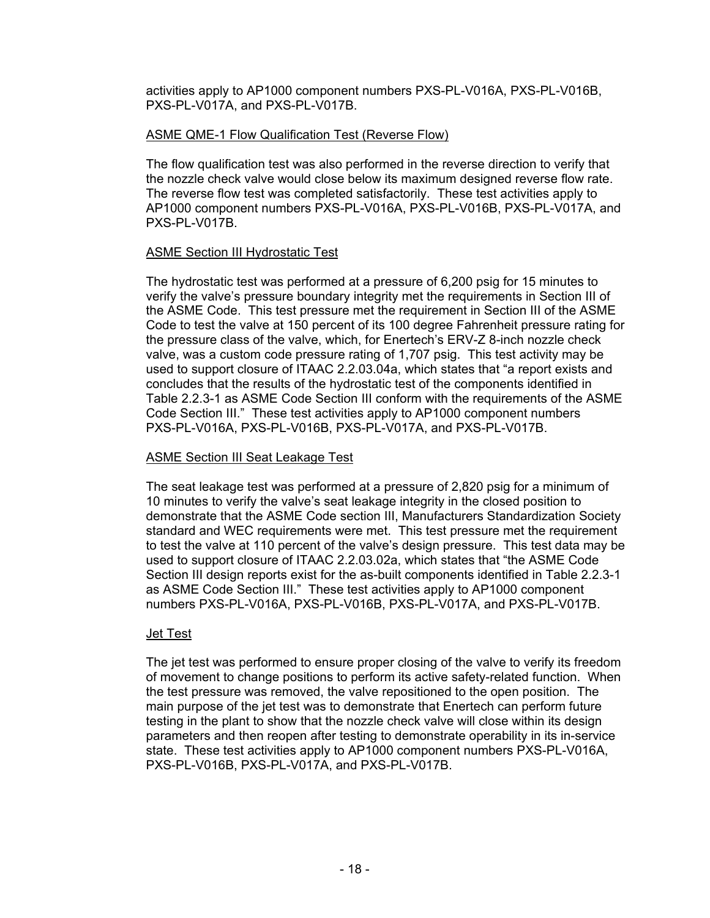activities apply to AP1000 component numbers PXS-PL-V016A, PXS-PL-V016B, PXS-PL-V017A, and PXS-PL-V017B.

#### ASME QME-1 Flow Qualification Test (Reverse Flow)

The flow qualification test was also performed in the reverse direction to verify that the nozzle check valve would close below its maximum designed reverse flow rate. The reverse flow test was completed satisfactorily. These test activities apply to AP1000 component numbers PXS-PL-V016A, PXS-PL-V016B, PXS-PL-V017A, and PXS-PL-V017B.

## ASME Section III Hydrostatic Test

The hydrostatic test was performed at a pressure of 6,200 psig for 15 minutes to verify the valve's pressure boundary integrity met the requirements in Section III of the ASME Code. This test pressure met the requirement in Section III of the ASME Code to test the valve at 150 percent of its 100 degree Fahrenheit pressure rating for the pressure class of the valve, which, for Enertech's ERV-Z 8-inch nozzle check valve, was a custom code pressure rating of 1,707 psig. This test activity may be used to support closure of ITAAC 2.2.03.04a, which states that "a report exists and concludes that the results of the hydrostatic test of the components identified in Table 2.2.3-1 as ASME Code Section III conform with the requirements of the ASME Code Section III." These test activities apply to AP1000 component numbers PXS-PL-V016A, PXS-PL-V016B, PXS-PL-V017A, and PXS-PL-V017B.

#### ASME Section III Seat Leakage Test

The seat leakage test was performed at a pressure of 2,820 psig for a minimum of 10 minutes to verify the valve's seat leakage integrity in the closed position to demonstrate that the ASME Code section III, Manufacturers Standardization Society standard and WEC requirements were met. This test pressure met the requirement to test the valve at 110 percent of the valve's design pressure. This test data may be used to support closure of ITAAC 2.2.03.02a, which states that "the ASME Code Section III design reports exist for the as-built components identified in Table 2.2.3-1 as ASME Code Section III." These test activities apply to AP1000 component numbers PXS-PL-V016A, PXS-PL-V016B, PXS-PL-V017A, and PXS-PL-V017B.

#### Jet Test

The jet test was performed to ensure proper closing of the valve to verify its freedom of movement to change positions to perform its active safety-related function. When the test pressure was removed, the valve repositioned to the open position. The main purpose of the jet test was to demonstrate that Enertech can perform future testing in the plant to show that the nozzle check valve will close within its design parameters and then reopen after testing to demonstrate operability in its in-service state. These test activities apply to AP1000 component numbers PXS-PL-V016A, PXS-PL-V016B, PXS-PL-V017A, and PXS-PL-V017B.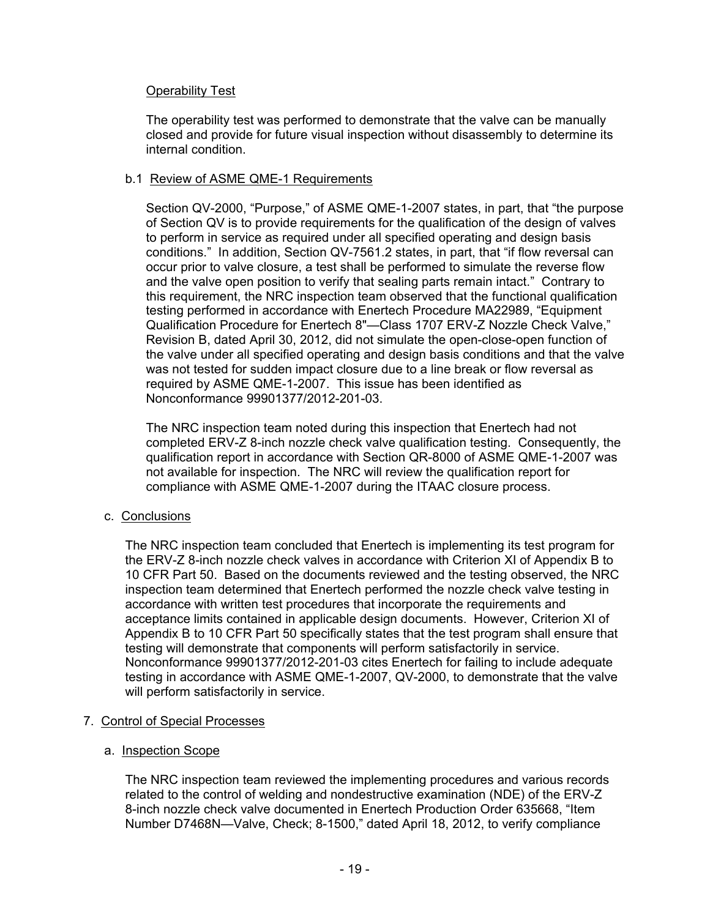## Operability Test

The operability test was performed to demonstrate that the valve can be manually closed and provide for future visual inspection without disassembly to determine its internal condition.

## b.1 Review of ASME QME-1 Requirements

Section QV-2000, "Purpose," of ASME QME-1-2007 states, in part, that "the purpose of Section QV is to provide requirements for the qualification of the design of valves to perform in service as required under all specified operating and design basis conditions." In addition, Section QV-7561.2 states, in part, that "if flow reversal can occur prior to valve closure, a test shall be performed to simulate the reverse flow and the valve open position to verify that sealing parts remain intact." Contrary to this requirement, the NRC inspection team observed that the functional qualification testing performed in accordance with Enertech Procedure MA22989, "Equipment Qualification Procedure for Enertech 8"—Class 1707 ERV-Z Nozzle Check Valve," Revision B, dated April 30, 2012, did not simulate the open-close-open function of the valve under all specified operating and design basis conditions and that the valve was not tested for sudden impact closure due to a line break or flow reversal as required by ASME QME-1-2007. This issue has been identified as Nonconformance 99901377/2012-201-03.

The NRC inspection team noted during this inspection that Enertech had not completed ERV-Z 8-inch nozzle check valve qualification testing. Consequently, the qualification report in accordance with Section QR-8000 of ASME QME-1-2007 was not available for inspection. The NRC will review the qualification report for compliance with ASME QME-1-2007 during the ITAAC closure process.

## c. Conclusions

The NRC inspection team concluded that Enertech is implementing its test program for the ERV-Z 8-inch nozzle check valves in accordance with Criterion XI of Appendix B to 10 CFR Part 50. Based on the documents reviewed and the testing observed, the NRC inspection team determined that Enertech performed the nozzle check valve testing in accordance with written test procedures that incorporate the requirements and acceptance limits contained in applicable design documents. However, Criterion XI of Appendix B to 10 CFR Part 50 specifically states that the test program shall ensure that testing will demonstrate that components will perform satisfactorily in service. Nonconformance 99901377/2012-201-03 cites Enertech for failing to include adequate testing in accordance with ASME QME-1-2007, QV-2000, to demonstrate that the valve will perform satisfactorily in service.

## 7. Control of Special Processes

## a. Inspection Scope

The NRC inspection team reviewed the implementing procedures and various records related to the control of welding and nondestructive examination (NDE) of the ERV-Z 8-inch nozzle check valve documented in Enertech Production Order 635668, "Item Number D7468N—Valve, Check; 8-1500," dated April 18, 2012, to verify compliance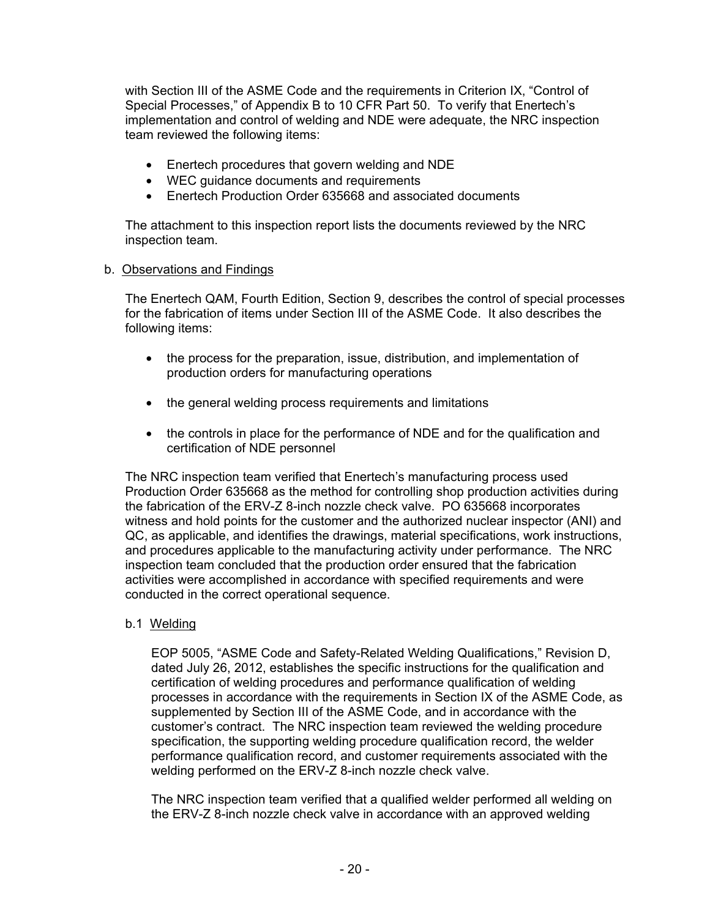with Section III of the ASME Code and the requirements in Criterion IX, "Control of Special Processes," of Appendix B to 10 CFR Part 50. To verify that Enertech's implementation and control of welding and NDE were adequate, the NRC inspection team reviewed the following items:

- Enertech procedures that govern welding and NDE
- WEC quidance documents and requirements
- Enertech Production Order 635668 and associated documents

The attachment to this inspection report lists the documents reviewed by the NRC inspection team.

#### b. Observations and Findings

The Enertech QAM, Fourth Edition, Section 9, describes the control of special processes for the fabrication of items under Section III of the ASME Code. It also describes the following items:

- the process for the preparation, issue, distribution, and implementation of production orders for manufacturing operations
- the general welding process requirements and limitations
- the controls in place for the performance of NDE and for the qualification and certification of NDE personnel

The NRC inspection team verified that Enertech's manufacturing process used Production Order 635668 as the method for controlling shop production activities during the fabrication of the ERV-Z 8-inch nozzle check valve. PO 635668 incorporates witness and hold points for the customer and the authorized nuclear inspector (ANI) and QC, as applicable, and identifies the drawings, material specifications, work instructions, and procedures applicable to the manufacturing activity under performance. The NRC inspection team concluded that the production order ensured that the fabrication activities were accomplished in accordance with specified requirements and were conducted in the correct operational sequence.

b.1 Welding

EOP 5005, "ASME Code and Safety-Related Welding Qualifications," Revision D, dated July 26, 2012, establishes the specific instructions for the qualification and certification of welding procedures and performance qualification of welding processes in accordance with the requirements in Section IX of the ASME Code, as supplemented by Section III of the ASME Code, and in accordance with the customer's contract. The NRC inspection team reviewed the welding procedure specification, the supporting welding procedure qualification record, the welder performance qualification record, and customer requirements associated with the welding performed on the ERV-Z 8-inch nozzle check valve.

The NRC inspection team verified that a qualified welder performed all welding on the ERV-Z 8-inch nozzle check valve in accordance with an approved welding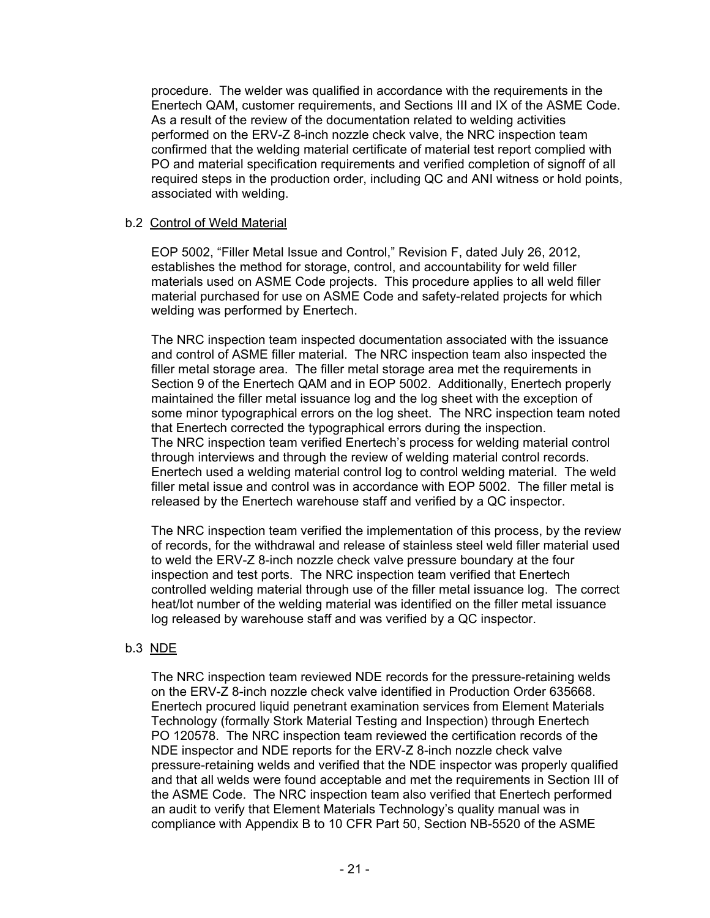procedure. The welder was qualified in accordance with the requirements in the Enertech QAM, customer requirements, and Sections III and IX of the ASME Code. As a result of the review of the documentation related to welding activities performed on the ERV-Z 8-inch nozzle check valve, the NRC inspection team confirmed that the welding material certificate of material test report complied with PO and material specification requirements and verified completion of signoff of all required steps in the production order, including QC and ANI witness or hold points, associated with welding.

#### b.2 Control of Weld Material

EOP 5002, "Filler Metal Issue and Control," Revision F, dated July 26, 2012, establishes the method for storage, control, and accountability for weld filler materials used on ASME Code projects. This procedure applies to all weld filler material purchased for use on ASME Code and safety-related projects for which welding was performed by Enertech.

The NRC inspection team inspected documentation associated with the issuance and control of ASME filler material. The NRC inspection team also inspected the filler metal storage area. The filler metal storage area met the requirements in Section 9 of the Enertech QAM and in EOP 5002. Additionally, Enertech properly maintained the filler metal issuance log and the log sheet with the exception of some minor typographical errors on the log sheet. The NRC inspection team noted that Enertech corrected the typographical errors during the inspection. The NRC inspection team verified Enertech's process for welding material control through interviews and through the review of welding material control records. Enertech used a welding material control log to control welding material. The weld filler metal issue and control was in accordance with EOP 5002. The filler metal is released by the Enertech warehouse staff and verified by a QC inspector.

The NRC inspection team verified the implementation of this process, by the review of records, for the withdrawal and release of stainless steel weld filler material used to weld the ERV-Z 8-inch nozzle check valve pressure boundary at the four inspection and test ports. The NRC inspection team verified that Enertech controlled welding material through use of the filler metal issuance log. The correct heat/lot number of the welding material was identified on the filler metal issuance log released by warehouse staff and was verified by a QC inspector.

## b.3 NDE

The NRC inspection team reviewed NDE records for the pressure-retaining welds on the ERV-Z 8-inch nozzle check valve identified in Production Order 635668. Enertech procured liquid penetrant examination services from Element Materials Technology (formally Stork Material Testing and Inspection) through Enertech PO 120578. The NRC inspection team reviewed the certification records of the NDE inspector and NDE reports for the ERV-Z 8-inch nozzle check valve pressure-retaining welds and verified that the NDE inspector was properly qualified and that all welds were found acceptable and met the requirements in Section III of the ASME Code. The NRC inspection team also verified that Enertech performed an audit to verify that Element Materials Technology's quality manual was in compliance with Appendix B to 10 CFR Part 50, Section NB-5520 of the ASME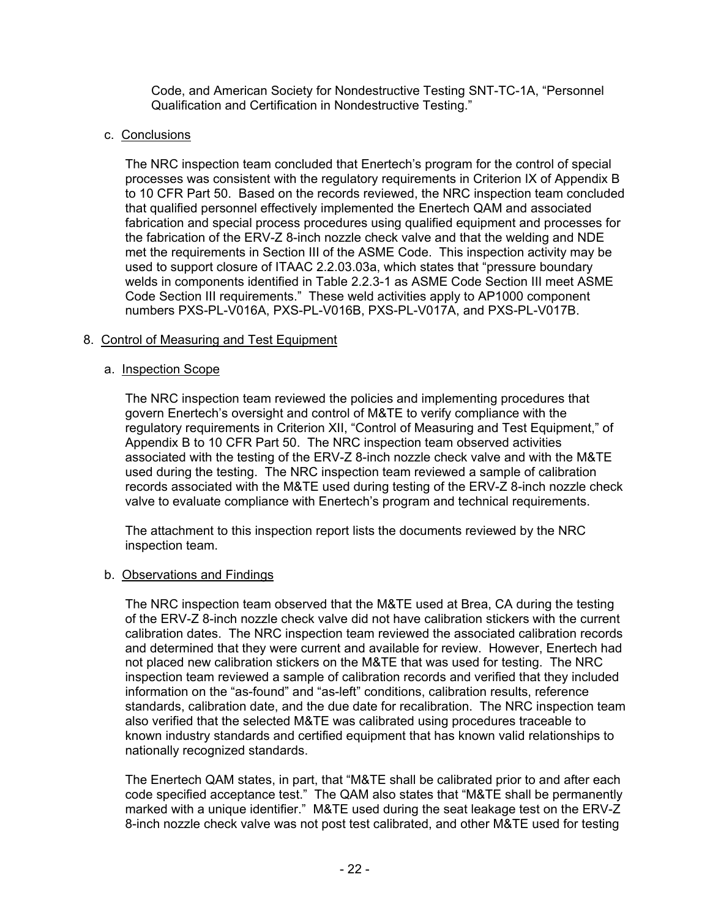Code, and American Society for Nondestructive Testing SNT-TC-1A, "Personnel Qualification and Certification in Nondestructive Testing."

#### c. Conclusions

The NRC inspection team concluded that Enertech's program for the control of special processes was consistent with the regulatory requirements in Criterion IX of Appendix B to 10 CFR Part 50. Based on the records reviewed, the NRC inspection team concluded that qualified personnel effectively implemented the Enertech QAM and associated fabrication and special process procedures using qualified equipment and processes for the fabrication of the ERV-Z 8-inch nozzle check valve and that the welding and NDE met the requirements in Section III of the ASME Code. This inspection activity may be used to support closure of ITAAC 2.2.03.03a, which states that "pressure boundary welds in components identified in Table 2.2.3-1 as ASME Code Section III meet ASME Code Section III requirements." These weld activities apply to AP1000 component numbers PXS-PL-V016A, PXS-PL-V016B, PXS-PL-V017A, and PXS-PL-V017B.

#### 8. Control of Measuring and Test Equipment

#### a. Inspection Scope

The NRC inspection team reviewed the policies and implementing procedures that govern Enertech's oversight and control of M&TE to verify compliance with the regulatory requirements in Criterion XII, "Control of Measuring and Test Equipment," of Appendix B to 10 CFR Part 50. The NRC inspection team observed activities associated with the testing of the ERV-Z 8-inch nozzle check valve and with the M&TE used during the testing. The NRC inspection team reviewed a sample of calibration records associated with the M&TE used during testing of the ERV-Z 8-inch nozzle check valve to evaluate compliance with Enertech's program and technical requirements.

The attachment to this inspection report lists the documents reviewed by the NRC inspection team.

#### b. Observations and Findings

The NRC inspection team observed that the M&TE used at Brea, CA during the testing of the ERV-Z 8-inch nozzle check valve did not have calibration stickers with the current calibration dates. The NRC inspection team reviewed the associated calibration records and determined that they were current and available for review. However, Enertech had not placed new calibration stickers on the M&TE that was used for testing. The NRC inspection team reviewed a sample of calibration records and verified that they included information on the "as-found" and "as-left" conditions, calibration results, reference standards, calibration date, and the due date for recalibration. The NRC inspection team also verified that the selected M&TE was calibrated using procedures traceable to known industry standards and certified equipment that has known valid relationships to nationally recognized standards.

The Enertech QAM states, in part, that "M&TE shall be calibrated prior to and after each code specified acceptance test." The QAM also states that "M&TE shall be permanently marked with a unique identifier." M&TE used during the seat leakage test on the ERV-Z 8-inch nozzle check valve was not post test calibrated, and other M&TE used for testing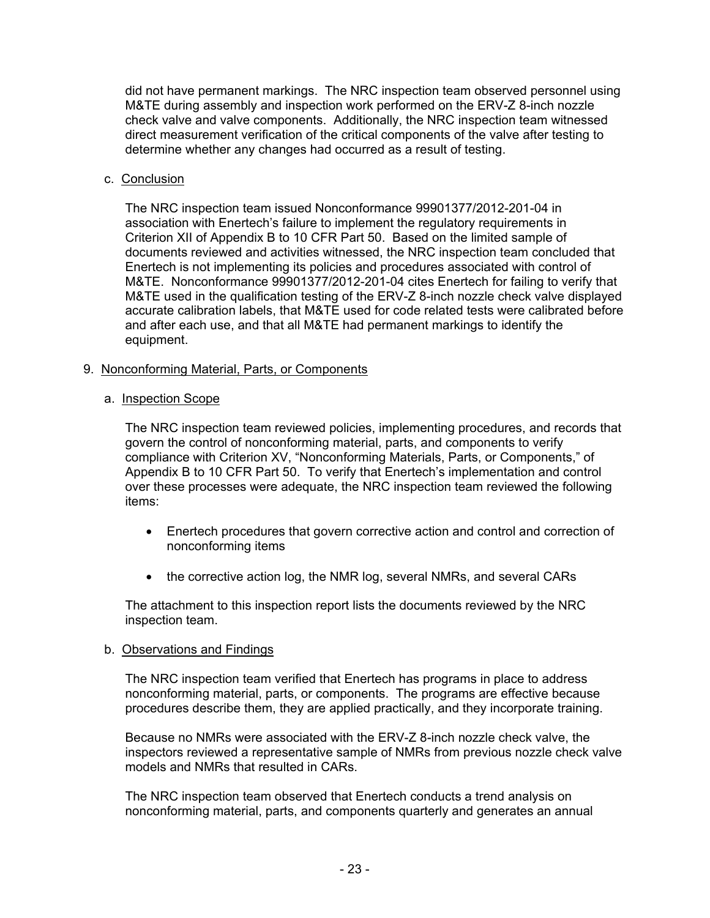did not have permanent markings. The NRC inspection team observed personnel using M&TE during assembly and inspection work performed on the ERV-Z 8-inch nozzle check valve and valve components. Additionally, the NRC inspection team witnessed direct measurement verification of the critical components of the valve after testing to determine whether any changes had occurred as a result of testing.

#### c. Conclusion

The NRC inspection team issued Nonconformance 99901377/2012-201-04 in association with Enertech's failure to implement the regulatory requirements in Criterion XII of Appendix B to 10 CFR Part 50. Based on the limited sample of documents reviewed and activities witnessed, the NRC inspection team concluded that Enertech is not implementing its policies and procedures associated with control of M&TE. Nonconformance 99901377/2012-201-04 cites Enertech for failing to verify that M&TE used in the qualification testing of the ERV-Z 8-inch nozzle check valve displayed accurate calibration labels, that M&TE used for code related tests were calibrated before and after each use, and that all M&TE had permanent markings to identify the equipment.

## 9. Nonconforming Material, Parts, or Components

#### a. Inspection Scope

The NRC inspection team reviewed policies, implementing procedures, and records that govern the control of nonconforming material, parts, and components to verify compliance with Criterion XV, "Nonconforming Materials, Parts, or Components," of Appendix B to 10 CFR Part 50. To verify that Enertech's implementation and control over these processes were adequate, the NRC inspection team reviewed the following items:

- Enertech procedures that govern corrective action and control and correction of nonconforming items
- the corrective action log, the NMR log, several NMRs, and several CARs

The attachment to this inspection report lists the documents reviewed by the NRC inspection team.

#### b. Observations and Findings

The NRC inspection team verified that Enertech has programs in place to address nonconforming material, parts, or components. The programs are effective because procedures describe them, they are applied practically, and they incorporate training.

Because no NMRs were associated with the ERV-Z 8-inch nozzle check valve, the inspectors reviewed a representative sample of NMRs from previous nozzle check valve models and NMRs that resulted in CARs.

The NRC inspection team observed that Enertech conducts a trend analysis on nonconforming material, parts, and components quarterly and generates an annual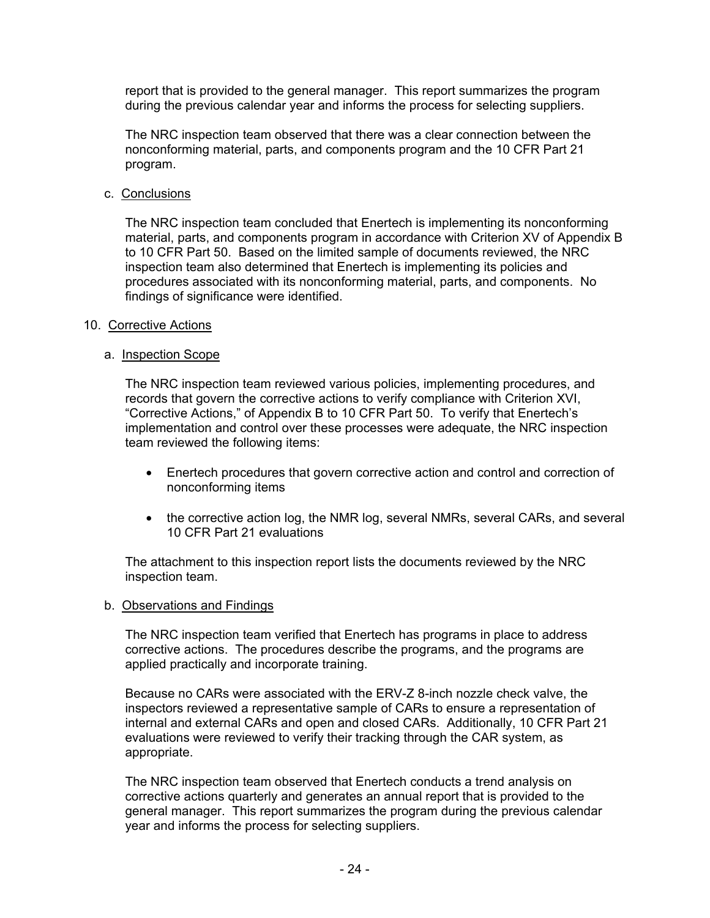report that is provided to the general manager. This report summarizes the program during the previous calendar year and informs the process for selecting suppliers.

The NRC inspection team observed that there was a clear connection between the nonconforming material, parts, and components program and the 10 CFR Part 21 program.

c. Conclusions

The NRC inspection team concluded that Enertech is implementing its nonconforming material, parts, and components program in accordance with Criterion XV of Appendix B to 10 CFR Part 50. Based on the limited sample of documents reviewed, the NRC inspection team also determined that Enertech is implementing its policies and procedures associated with its nonconforming material, parts, and components. No findings of significance were identified.

#### 10. Corrective Actions

#### a. Inspection Scope

The NRC inspection team reviewed various policies, implementing procedures, and records that govern the corrective actions to verify compliance with Criterion XVI, "Corrective Actions," of Appendix B to 10 CFR Part 50. To verify that Enertech's implementation and control over these processes were adequate, the NRC inspection team reviewed the following items:

- Enertech procedures that govern corrective action and control and correction of nonconforming items
- the corrective action log, the NMR log, several NMRs, several CARs, and several 10 CFR Part 21 evaluations

The attachment to this inspection report lists the documents reviewed by the NRC inspection team.

#### b. Observations and Findings

The NRC inspection team verified that Enertech has programs in place to address corrective actions. The procedures describe the programs, and the programs are applied practically and incorporate training.

Because no CARs were associated with the ERV-Z 8-inch nozzle check valve, the inspectors reviewed a representative sample of CARs to ensure a representation of internal and external CARs and open and closed CARs. Additionally, 10 CFR Part 21 evaluations were reviewed to verify their tracking through the CAR system, as appropriate.

The NRC inspection team observed that Enertech conducts a trend analysis on corrective actions quarterly and generates an annual report that is provided to the general manager. This report summarizes the program during the previous calendar year and informs the process for selecting suppliers.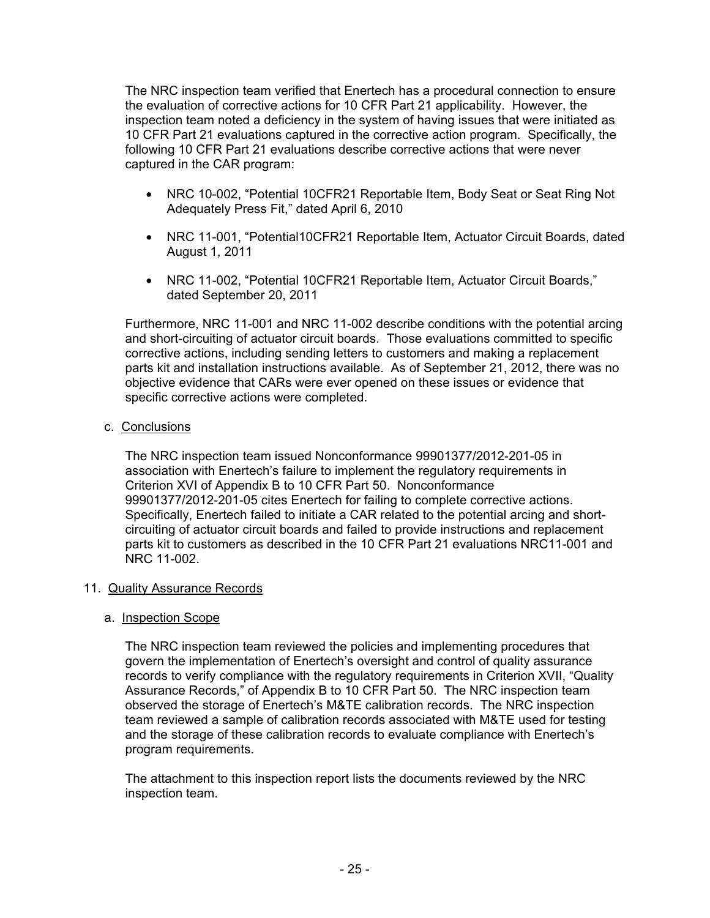The NRC inspection team verified that Enertech has a procedural connection to ensure the evaluation of corrective actions for 10 CFR Part 21 applicability. However, the inspection team noted a deficiency in the system of having issues that were initiated as 10 CFR Part 21 evaluations captured in the corrective action program. Specifically, the following 10 CFR Part 21 evaluations describe corrective actions that were never captured in the CAR program:

- NRC 10-002, "Potential 10CFR21 Reportable Item, Body Seat or Seat Ring Not Adequately Press Fit," dated April 6, 2010
- NRC 11-001, "Potential10CFR21 Reportable Item, Actuator Circuit Boards, dated August 1, 2011
- NRC 11-002, "Potential 10CFR21 Reportable Item, Actuator Circuit Boards," dated September 20, 2011

Furthermore, NRC 11-001 and NRC 11-002 describe conditions with the potential arcing and short-circuiting of actuator circuit boards. Those evaluations committed to specific corrective actions, including sending letters to customers and making a replacement parts kit and installation instructions available. As of September 21, 2012, there was no objective evidence that CARs were ever opened on these issues or evidence that specific corrective actions were completed.

## c. Conclusions

The NRC inspection team issued Nonconformance 99901377/2012-201-05 in association with Enertech's failure to implement the regulatory requirements in Criterion XVI of Appendix B to 10 CFR Part 50. Nonconformance 99901377/2012-201-05 cites Enertech for failing to complete corrective actions. Specifically, Enertech failed to initiate a CAR related to the potential arcing and shortcircuiting of actuator circuit boards and failed to provide instructions and replacement parts kit to customers as described in the 10 CFR Part 21 evaluations NRC11-001 and NRC 11-002.

#### 11. Quality Assurance Records

## a. Inspection Scope

The NRC inspection team reviewed the policies and implementing procedures that govern the implementation of Enertech's oversight and control of quality assurance records to verify compliance with the regulatory requirements in Criterion XVII, "Quality Assurance Records," of Appendix B to 10 CFR Part 50. The NRC inspection team observed the storage of Enertech's M&TE calibration records. The NRC inspection team reviewed a sample of calibration records associated with M&TE used for testing and the storage of these calibration records to evaluate compliance with Enertech's program requirements.

The attachment to this inspection report lists the documents reviewed by the NRC inspection team.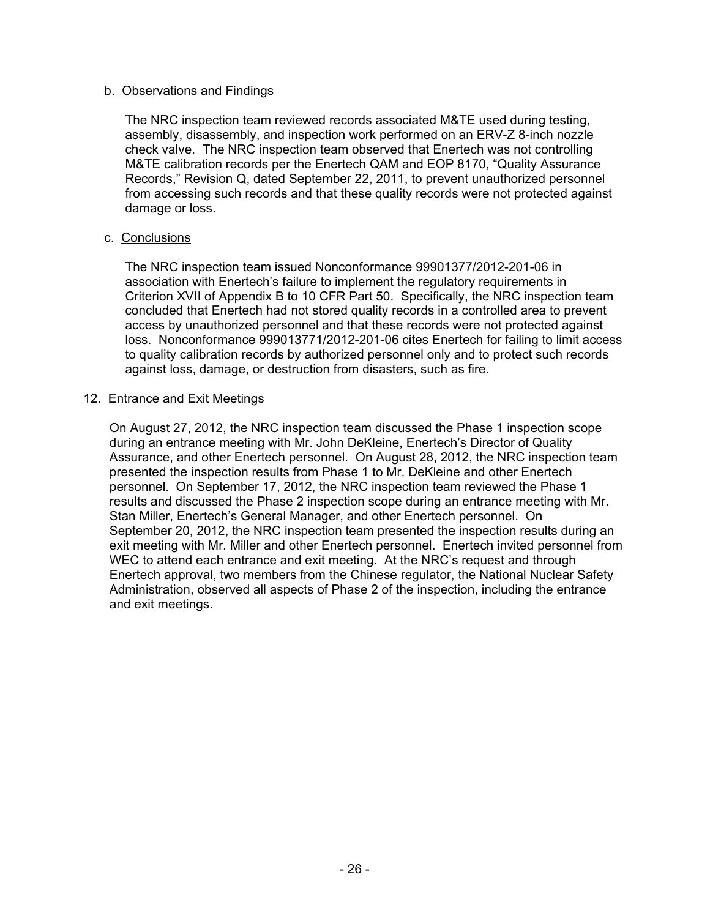#### b. Observations and Findings

The NRC inspection team reviewed records associated M&TE used during testing, assembly, disassembly, and inspection work performed on an ERV-Z 8-inch nozzle check valve. The NRC inspection team observed that Enertech was not controlling M&TE calibration records per the Enertech QAM and EOP 8170, "Quality Assurance Records," Revision Q, dated September 22, 2011, to prevent unauthorized personnel from accessing such records and that these quality records were not protected against damage or loss.

#### c. Conclusions

The NRC inspection team issued Nonconformance 99901377/2012-201-06 in association with Enertech's failure to implement the regulatory requirements in Criterion XVII of Appendix B to 10 CFR Part 50. Specifically, the NRC inspection team concluded that Enertech had not stored quality records in a controlled area to prevent access by unauthorized personnel and that these records were not protected against loss. Nonconformance 999013771/2012-201-06 cites Enertech for failing to limit access to quality calibration records by authorized personnel only and to protect such records against loss, damage, or destruction from disasters, such as fire.

#### 12. Entrance and Exit Meetings

On August 27, 2012, the NRC inspection team discussed the Phase 1 inspection scope during an entrance meeting with Mr. John DeKleine, Enertech's Director of Quality Assurance, and other Enertech personnel. On August 28, 2012, the NRC inspection team presented the inspection results from Phase 1 to Mr. DeKleine and other Enertech personnel. On September 17, 2012, the NRC inspection team reviewed the Phase 1 results and discussed the Phase 2 inspection scope during an entrance meeting with Mr. Stan Miller, Enertech's General Manager, and other Enertech personnel. On September 20, 2012, the NRC inspection team presented the inspection results during an exit meeting with Mr. Miller and other Enertech personnel. Enertech invited personnel from WEC to attend each entrance and exit meeting. At the NRC's request and through Enertech approval, two members from the Chinese regulator, the National Nuclear Safety Administration, observed all aspects of Phase 2 of the inspection, including the entrance and exit meetings.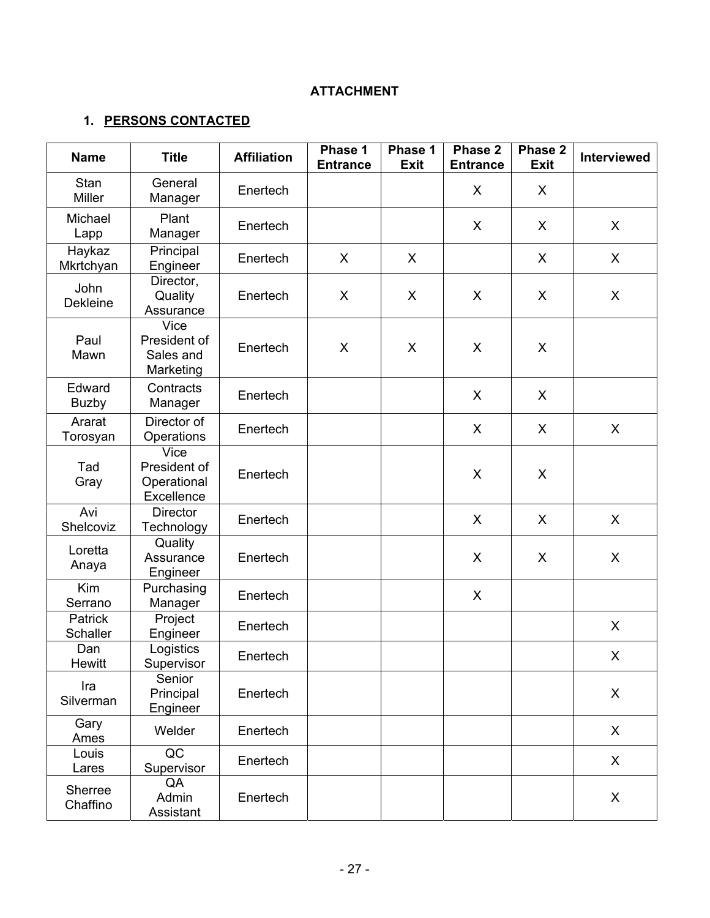# **ATTACHMENT**

# **1. PERSONS CONTACTED**

| <b>Name</b>                | <b>Title</b>                                             | <b>Affiliation</b> | Phase 1<br><b>Entrance</b> | Phase 1<br><b>Exit</b> | Phase 2<br><b>Entrance</b> | Phase 2<br><b>Exit</b> | Interviewed  |
|----------------------------|----------------------------------------------------------|--------------------|----------------------------|------------------------|----------------------------|------------------------|--------------|
| Stan<br><b>Miller</b>      | General<br>Manager                                       | Enertech           |                            |                        | X                          | X                      |              |
| Michael<br>Lapp            | Plant<br>Manager                                         | Enertech           |                            |                        | X                          | X                      | X            |
| Haykaz<br>Mkrtchyan        | Principal<br>Engineer                                    | Enertech           | X                          | X                      |                            | X                      | X            |
| John<br><b>Dekleine</b>    | Director,<br>Quality<br>Assurance                        | Enertech           | X                          | X                      | X                          | X                      | X            |
| Paul<br>Mawn               | <b>Vice</b><br>President of<br>Sales and<br>Marketing    | Enertech           | X                          | X                      | X                          | X                      |              |
| Edward<br><b>Buzby</b>     | Contracts<br>Manager                                     | Enertech           |                            |                        | X                          | $\sf X$                |              |
| Ararat<br>Torosyan         | Director of<br>Operations                                | Enertech           |                            |                        | X                          | X                      | X            |
| Tad<br>Gray                | <b>Vice</b><br>President of<br>Operational<br>Excellence | Enertech           |                            |                        | X                          | X                      |              |
| Avi<br>Shelcoviz           | <b>Director</b><br>Technology                            | Enertech           |                            |                        | X                          | X                      | X            |
| Loretta<br>Anaya           | Quality<br>Assurance<br>Engineer                         | Enertech           |                            |                        | X                          | X                      | X            |
| Kim<br>Serrano             | Purchasing<br>Manager                                    | Enertech           |                            |                        | X                          |                        |              |
| Patrick<br><b>Schaller</b> | Project<br>Engineer                                      | Enertech           |                            |                        |                            |                        | X            |
| Dan<br><b>Hewitt</b>       | Logistics<br>Supervisor                                  | Enertech           |                            |                        |                            |                        | X            |
| Ira<br>Silverman           | Senior<br>Principal<br>Engineer                          | Enertech           |                            |                        |                            |                        | X            |
| Gary<br>Ames               | Welder                                                   | Enertech           |                            |                        |                            |                        | $\mathsf{X}$ |
| Louis<br>Lares             | QC<br>Supervisor                                         | Enertech           |                            |                        |                            |                        | X            |
| Sherree<br>Chaffino        | QA<br>Admin<br>Assistant                                 | Enertech           |                            |                        |                            |                        | X            |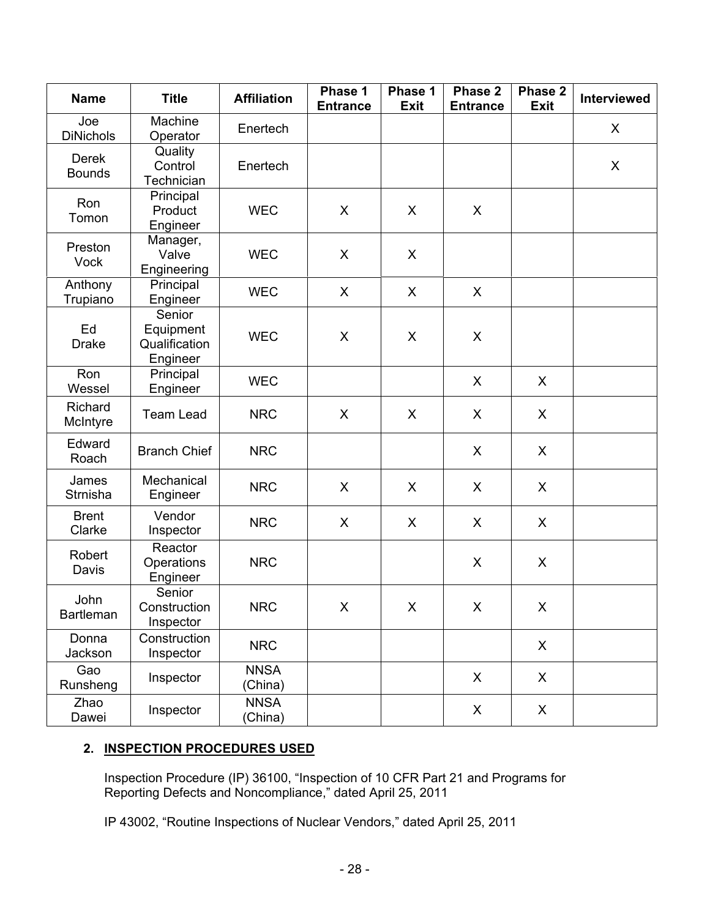| <b>Name</b>                   | <b>Title</b>                                     | <b>Affiliation</b>     | Phase 1<br><b>Entrance</b> | Phase 1<br><b>Exit</b> | Phase 2<br><b>Entrance</b> | Phase 2<br><b>Exit</b> | Interviewed |
|-------------------------------|--------------------------------------------------|------------------------|----------------------------|------------------------|----------------------------|------------------------|-------------|
| Joe<br><b>DiNichols</b>       | Machine<br>Operator                              | Enertech               |                            |                        |                            |                        | X           |
| <b>Derek</b><br><b>Bounds</b> | Quality<br>Control<br>Technician                 | Enertech               |                            |                        |                            |                        | X           |
| Ron<br>Tomon                  | Principal<br>Product<br>Engineer                 | <b>WEC</b>             | X                          | X                      | X                          |                        |             |
| Preston<br><b>Vock</b>        | Manager,<br>Valve<br>Engineering                 | <b>WEC</b>             | X                          | X                      |                            |                        |             |
| Anthony<br>Trupiano           | Principal<br>Engineer                            | <b>WEC</b>             | X                          | X                      | X                          |                        |             |
| Ed<br><b>Drake</b>            | Senior<br>Equipment<br>Qualification<br>Engineer | <b>WEC</b>             | X                          | X                      | X                          |                        |             |
| Ron<br>Wessel                 | Principal<br>Engineer                            | <b>WEC</b>             |                            |                        | $\sf X$                    | X                      |             |
| Richard<br>McIntyre           | <b>Team Lead</b>                                 | <b>NRC</b>             | X                          | $\mathsf{X}$           | X                          | X                      |             |
| Edward<br>Roach               | <b>Branch Chief</b>                              | <b>NRC</b>             |                            |                        | $\sf X$                    | X                      |             |
| James<br>Strnisha             | Mechanical<br>Engineer                           | <b>NRC</b>             | X                          | X                      | X                          | X                      |             |
| <b>Brent</b><br>Clarke        | Vendor<br>Inspector                              | <b>NRC</b>             | X                          | X                      | X                          | X                      |             |
| Robert<br>Davis               | Reactor<br>Operations<br>Engineer                | <b>NRC</b>             |                            |                        | X                          | X                      |             |
| John<br><b>Bartleman</b>      | Senior<br>Construction<br>Inspector              | <b>NRC</b>             | X                          | X                      | X                          | X                      |             |
| Donna<br>Jackson              | Construction<br>Inspector                        | <b>NRC</b>             |                            |                        |                            | X                      |             |
| Gao<br>Runsheng               | Inspector                                        | <b>NNSA</b><br>(China) |                            |                        | X                          | X                      |             |
| Zhao<br>Dawei                 | Inspector                                        | <b>NNSA</b><br>(China) |                            |                        | X                          | X                      |             |

# **2. INSPECTION PROCEDURES USED**

Inspection Procedure (IP) 36100, "Inspection of 10 CFR Part 21 and Programs for Reporting Defects and Noncompliance," dated April 25, 2011

IP 43002, "Routine Inspections of Nuclear Vendors," dated April 25, 2011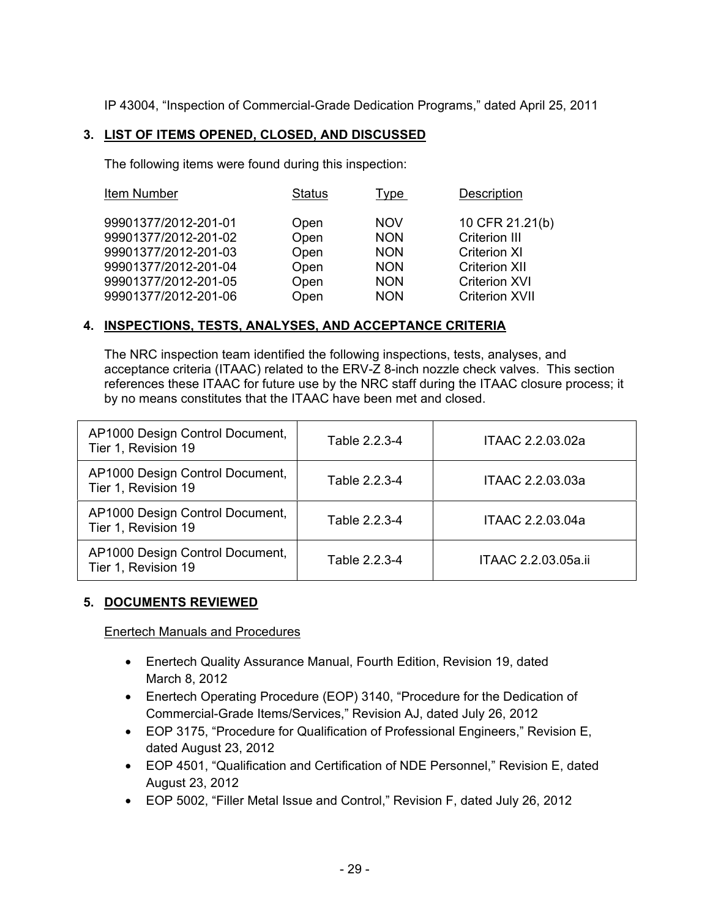IP 43004, "Inspection of Commercial-Grade Dedication Programs," dated April 25, 2011

## **3. LIST OF ITEMS OPENED, CLOSED, AND DISCUSSED**

The following items were found during this inspection:

| Item Number                                                                                                                                  | Status                                       | Type                                                                             | Description                                                                                                                             |
|----------------------------------------------------------------------------------------------------------------------------------------------|----------------------------------------------|----------------------------------------------------------------------------------|-----------------------------------------------------------------------------------------------------------------------------------------|
| 99901377/2012-201-01<br>99901377/2012-201-02<br>99901377/2012-201-03<br>99901377/2012-201-04<br>99901377/2012-201-05<br>99901377/2012-201-06 | Open<br>Open<br>Open<br>Open<br>Open<br>Open | <b>NOV</b><br><b>NON</b><br><b>NON</b><br><b>NON</b><br><b>NON</b><br><b>NON</b> | 10 CFR 21.21(b)<br><b>Criterion III</b><br><b>Criterion XI</b><br><b>Criterion XII</b><br><b>Criterion XVI</b><br><b>Criterion XVII</b> |
|                                                                                                                                              |                                              |                                                                                  |                                                                                                                                         |

## **4. INSPECTIONS, TESTS, ANALYSES, AND ACCEPTANCE CRITERIA**

The NRC inspection team identified the following inspections, tests, analyses, and acceptance criteria (ITAAC) related to the ERV-Z 8-inch nozzle check valves. This section references these ITAAC for future use by the NRC staff during the ITAAC closure process; it by no means constitutes that the ITAAC have been met and closed.

| AP1000 Design Control Document,<br>Tier 1, Revision 19 | Table 2.2.3-4 | ITAAC 2.2.03.02a    |
|--------------------------------------------------------|---------------|---------------------|
| AP1000 Design Control Document,<br>Tier 1, Revision 19 | Table 2.2.3-4 | ITAAC 2.2.03.03a    |
| AP1000 Design Control Document,<br>Tier 1, Revision 19 | Table 2.2.3-4 | ITAAC 2.2.03.04a    |
| AP1000 Design Control Document,<br>Tier 1, Revision 19 | Table 2.2.3-4 | ITAAC 2.2.03.05a.ii |

## **5. DOCUMENTS REVIEWED**

Enertech Manuals and Procedures

- Enertech Quality Assurance Manual, Fourth Edition, Revision 19, dated March 8, 2012
- Enertech Operating Procedure (EOP) 3140, "Procedure for the Dedication of Commercial-Grade Items/Services," Revision AJ, dated July 26, 2012
- EOP 3175, "Procedure for Qualification of Professional Engineers," Revision E, dated August 23, 2012
- EOP 4501, "Qualification and Certification of NDE Personnel," Revision E, dated August 23, 2012
- EOP 5002, "Filler Metal Issue and Control," Revision F, dated July 26, 2012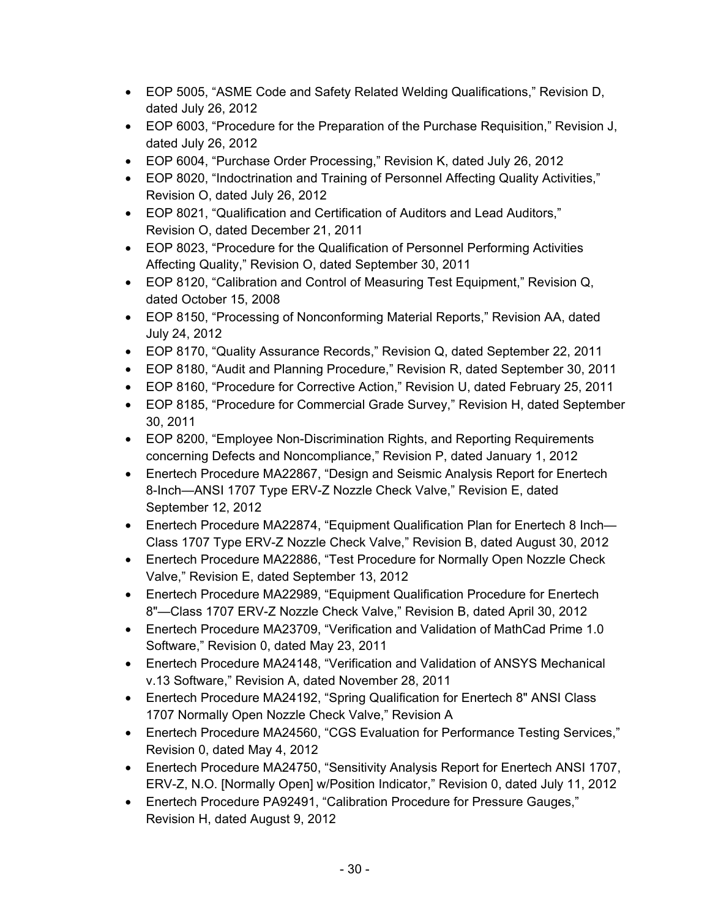- EOP 5005, "ASME Code and Safety Related Welding Qualifications," Revision D, dated July 26, 2012
- EOP 6003, "Procedure for the Preparation of the Purchase Requisition," Revision J, dated July 26, 2012
- EOP 6004, "Purchase Order Processing," Revision K, dated July 26, 2012
- EOP 8020, "Indoctrination and Training of Personnel Affecting Quality Activities," Revision O, dated July 26, 2012
- EOP 8021, "Qualification and Certification of Auditors and Lead Auditors," Revision O, dated December 21, 2011
- EOP 8023, "Procedure for the Qualification of Personnel Performing Activities Affecting Quality," Revision O, dated September 30, 2011
- EOP 8120, "Calibration and Control of Measuring Test Equipment," Revision Q, dated October 15, 2008
- EOP 8150, "Processing of Nonconforming Material Reports," Revision AA, dated July 24, 2012
- EOP 8170, "Quality Assurance Records," Revision Q, dated September 22, 2011
- EOP 8180, "Audit and Planning Procedure," Revision R, dated September 30, 2011
- EOP 8160, "Procedure for Corrective Action," Revision U, dated February 25, 2011
- EOP 8185, "Procedure for Commercial Grade Survey," Revision H, dated September 30, 2011
- EOP 8200, "Employee Non-Discrimination Rights, and Reporting Requirements concerning Defects and Noncompliance," Revision P, dated January 1, 2012
- Enertech Procedure MA22867, "Design and Seismic Analysis Report for Enertech 8-Inch—ANSI 1707 Type ERV-Z Nozzle Check Valve," Revision E, dated September 12, 2012
- Enertech Procedure MA22874, "Equipment Qualification Plan for Enertech 8 Inch— Class 1707 Type ERV-Z Nozzle Check Valve," Revision B, dated August 30, 2012
- Enertech Procedure MA22886, "Test Procedure for Normally Open Nozzle Check Valve," Revision E, dated September 13, 2012
- Enertech Procedure MA22989, "Equipment Qualification Procedure for Enertech 8"—Class 1707 ERV-Z Nozzle Check Valve," Revision B, dated April 30, 2012
- Enertech Procedure MA23709, "Verification and Validation of MathCad Prime 1.0 Software," Revision 0, dated May 23, 2011
- Enertech Procedure MA24148, "Verification and Validation of ANSYS Mechanical v.13 Software," Revision A, dated November 28, 2011
- Enertech Procedure MA24192, "Spring Qualification for Enertech 8" ANSI Class 1707 Normally Open Nozzle Check Valve," Revision A
- Enertech Procedure MA24560, "CGS Evaluation for Performance Testing Services," Revision 0, dated May 4, 2012
- Enertech Procedure MA24750, "Sensitivity Analysis Report for Enertech ANSI 1707, ERV-Z, N.O. [Normally Open] w/Position Indicator," Revision 0, dated July 11, 2012
- Enertech Procedure PA92491, "Calibration Procedure for Pressure Gauges," Revision H, dated August 9, 2012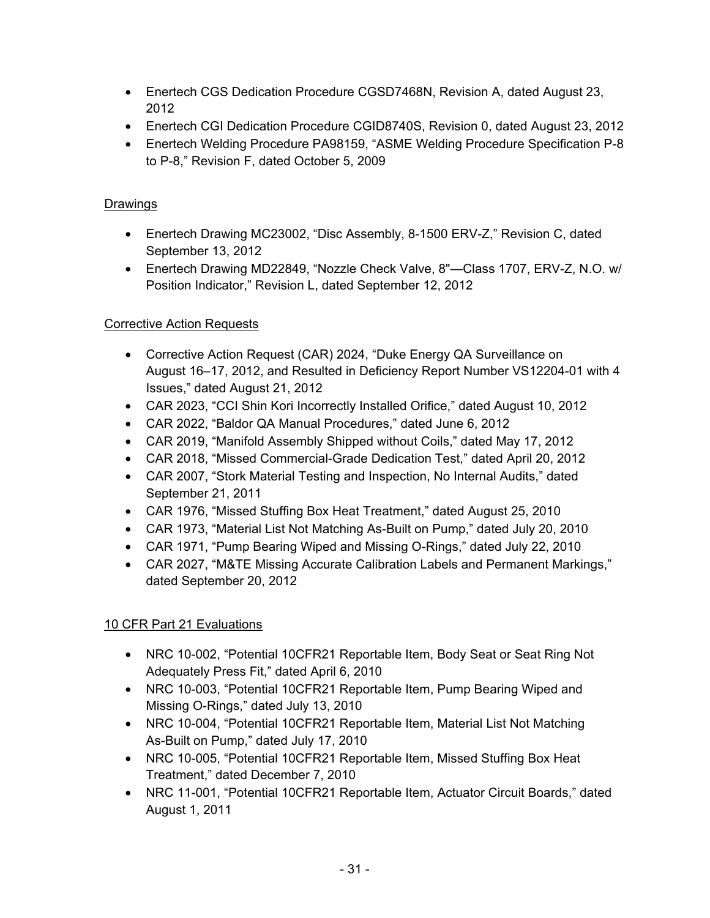- Enertech CGS Dedication Procedure CGSD7468N, Revision A, dated August 23, 2012
- Enertech CGI Dedication Procedure CGID8740S, Revision 0, dated August 23, 2012
- Enertech Welding Procedure PA98159, "ASME Welding Procedure Specification P-8 to P-8," Revision F, dated October 5, 2009

# **Drawings**

- Enertech Drawing MC23002, "Disc Assembly, 8-1500 ERV-Z," Revision C, dated September 13, 2012
- Enertech Drawing MD22849, "Nozzle Check Valve, 8"—Class 1707, ERV-Z, N.O. w/ Position Indicator," Revision L, dated September 12, 2012

# Corrective Action Requests

- Corrective Action Request (CAR) 2024, "Duke Energy QA Surveillance on August 16–17, 2012, and Resulted in Deficiency Report Number VS12204-01 with 4 Issues," dated August 21, 2012
- CAR 2023, "CCI Shin Kori Incorrectly Installed Orifice," dated August 10, 2012
- CAR 2022, "Baldor QA Manual Procedures," dated June 6, 2012
- CAR 2019, "Manifold Assembly Shipped without Coils," dated May 17, 2012
- CAR 2018, "Missed Commercial-Grade Dedication Test," dated April 20, 2012
- CAR 2007, "Stork Material Testing and Inspection, No Internal Audits," dated September 21, 2011
- CAR 1976, "Missed Stuffing Box Heat Treatment," dated August 25, 2010
- CAR 1973, "Material List Not Matching As-Built on Pump," dated July 20, 2010
- CAR 1971, "Pump Bearing Wiped and Missing O-Rings," dated July 22, 2010
- CAR 2027, "M&TE Missing Accurate Calibration Labels and Permanent Markings," dated September 20, 2012

# 10 CFR Part 21 Evaluations

- NRC 10-002, "Potential 10CFR21 Reportable Item, Body Seat or Seat Ring Not Adequately Press Fit," dated April 6, 2010
- NRC 10-003, "Potential 10CFR21 Reportable Item, Pump Bearing Wiped and Missing O-Rings," dated July 13, 2010
- NRC 10-004, "Potential 10CFR21 Reportable Item, Material List Not Matching As-Built on Pump," dated July 17, 2010
- NRC 10-005, "Potential 10CFR21 Reportable Item, Missed Stuffing Box Heat Treatment," dated December 7, 2010
- NRC 11-001, "Potential 10CFR21 Reportable Item, Actuator Circuit Boards," dated August 1, 2011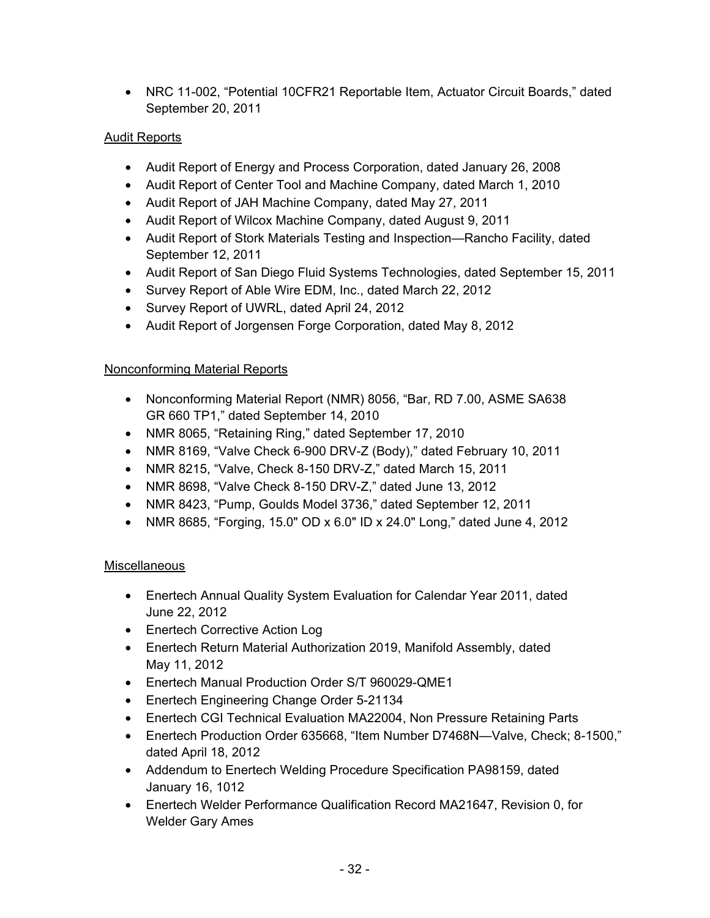• NRC 11-002, "Potential 10CFR21 Reportable Item, Actuator Circuit Boards," dated September 20, 2011

# Audit Reports

- Audit Report of Energy and Process Corporation, dated January 26, 2008
- Audit Report of Center Tool and Machine Company, dated March 1, 2010
- Audit Report of JAH Machine Company, dated May 27, 2011
- Audit Report of Wilcox Machine Company, dated August 9, 2011
- Audit Report of Stork Materials Testing and Inspection—Rancho Facility, dated September 12, 2011
- Audit Report of San Diego Fluid Systems Technologies, dated September 15, 2011
- Survey Report of Able Wire EDM, Inc., dated March 22, 2012
- Survey Report of UWRL, dated April 24, 2012
- Audit Report of Jorgensen Forge Corporation, dated May 8, 2012

# Nonconforming Material Reports

- Nonconforming Material Report (NMR) 8056, "Bar, RD 7.00, ASME SA638 GR 660 TP1," dated September 14, 2010
- NMR 8065, "Retaining Ring," dated September 17, 2010
- NMR 8169, "Valve Check 6-900 DRV-Z (Body)," dated February 10, 2011
- NMR 8215, "Valve, Check 8-150 DRV-Z," dated March 15, 2011
- NMR 8698, "Valve Check 8-150 DRV-Z," dated June 13, 2012
- NMR 8423, "Pump, Goulds Model 3736," dated September 12, 2011
- NMR 8685, "Forging, 15.0" OD x 6.0" ID x 24.0" Long," dated June 4, 2012

# **Miscellaneous**

- Enertech Annual Quality System Evaluation for Calendar Year 2011, dated June 22, 2012
- Enertech Corrective Action Log
- Enertech Return Material Authorization 2019, Manifold Assembly, dated May 11, 2012
- Enertech Manual Production Order S/T 960029-QME1
- Enertech Engineering Change Order 5-21134
- Enertech CGI Technical Evaluation MA22004, Non Pressure Retaining Parts
- Enertech Production Order 635668, "Item Number D7468N—Valve, Check; 8-1500," dated April 18, 2012
- Addendum to Enertech Welding Procedure Specification PA98159, dated January 16, 1012
- Enertech Welder Performance Qualification Record MA21647, Revision 0, for Welder Gary Ames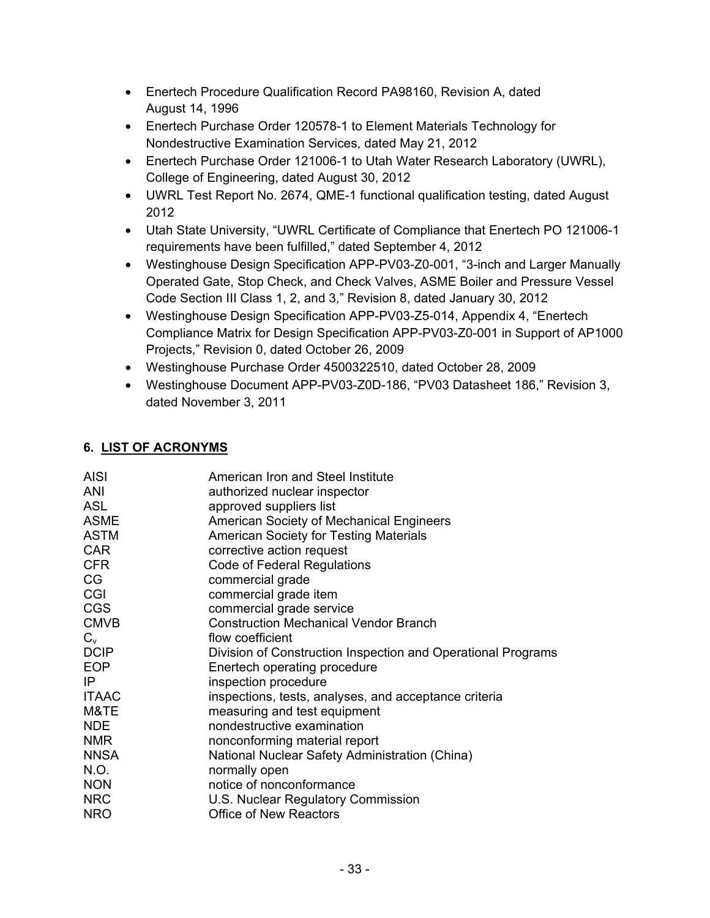- Enertech Procedure Qualification Record PA98160, Revision A, dated August 14, 1996
- Enertech Purchase Order 120578-1 to Element Materials Technology for Nondestructive Examination Services, dated May 21, 2012
- Enertech Purchase Order 121006-1 to Utah Water Research Laboratory (UWRL), College of Engineering, dated August 30, 2012
- UWRL Test Report No. 2674, QME-1 functional qualification testing, dated August 2012
- Utah State University, "UWRL Certificate of Compliance that Enertech PO 121006-1 requirements have been fulfilled," dated September 4, 2012
- Westinghouse Design Specification APP-PV03-Z0-001, "3-inch and Larger Manually Operated Gate, Stop Check, and Check Valves, ASME Boiler and Pressure Vessel Code Section III Class 1, 2, and 3," Revision 8, dated January 30, 2012
- Westinghouse Design Specification APP-PV03-Z5-014, Appendix 4, "Enertech Compliance Matrix for Design Specification APP-PV03-Z0-001 in Support of AP1000 Projects," Revision 0, dated October 26, 2009
- Westinghouse Purchase Order 4500322510, dated October 28, 2009
- Westinghouse Document APP-PV03-Z0D-186, "PV03 Datasheet 186," Revision 3, dated November 3, 2011

# **6. LIST OF ACRONYMS**

| <b>AISI</b>  | American Iron and Steel Institute                            |
|--------------|--------------------------------------------------------------|
| ANI          | authorized nuclear inspector                                 |
| <b>ASL</b>   | approved suppliers list                                      |
| <b>ASME</b>  | American Society of Mechanical Engineers                     |
| <b>ASTM</b>  | <b>American Society for Testing Materials</b>                |
| <b>CAR</b>   | corrective action request                                    |
| <b>CFR</b>   | Code of Federal Regulations                                  |
| CG           | commercial grade                                             |
| CGI          | commercial grade item                                        |
| <b>CGS</b>   | commercial grade service                                     |
| <b>CMVB</b>  | <b>Construction Mechanical Vendor Branch</b>                 |
| $C_{v}$      | flow coefficient                                             |
| <b>DCIP</b>  | Division of Construction Inspection and Operational Programs |
| <b>EOP</b>   | Enertech operating procedure                                 |
| IP           | inspection procedure                                         |
| <b>ITAAC</b> | inspections, tests, analyses, and acceptance criteria        |
| M&TE         | measuring and test equipment                                 |
| <b>NDE</b>   | nondestructive examination                                   |
| <b>NMR</b>   | nonconforming material report                                |
| <b>NNSA</b>  | National Nuclear Safety Administration (China)               |
| N.O.         | normally open                                                |
| <b>NON</b>   | notice of nonconformance                                     |
| <b>NRC</b>   | U.S. Nuclear Regulatory Commission                           |
| <b>NRO</b>   | <b>Office of New Reactors</b>                                |
|              |                                                              |